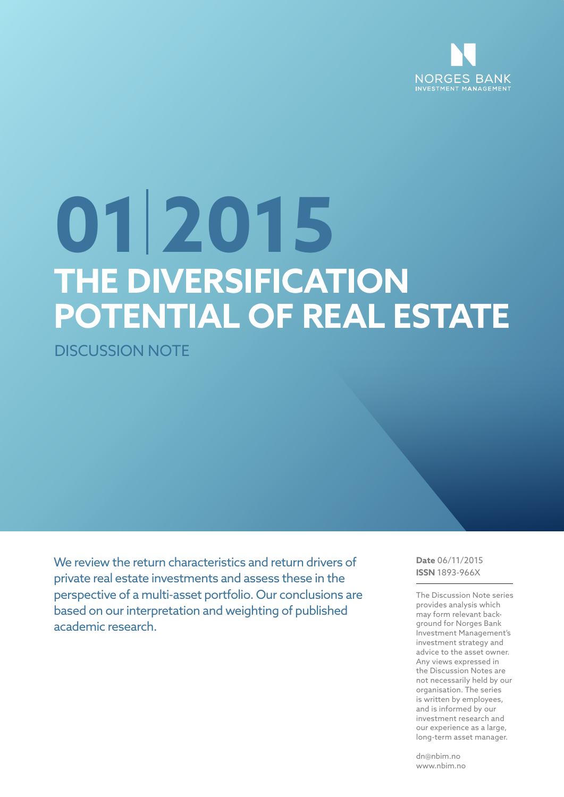

# **THE DIVERSIFICATION POTENTIAL OF REAL ESTATE 01 2015**

DISCUSSION NOTE

We review the return characteristics and return drivers of private real estate investments and assess these in the perspective of a multi-asset portfolio. Our conclusions are based on our interpretation and weighting of published academic research.

**Date** 06/11/2015 **ISSN** 1893-966X

The Discussion Note series provides analysis which may form relevant background for Norges Bank Investment Management's investment strategy and advice to the asset owner. Any views expressed in the Discussion Notes are not necessarily held by our organisation. The series is written by employees, and is informed by our investment research and our experience as a large, long-term asset manager.

dn@nbim.no www.nbim.no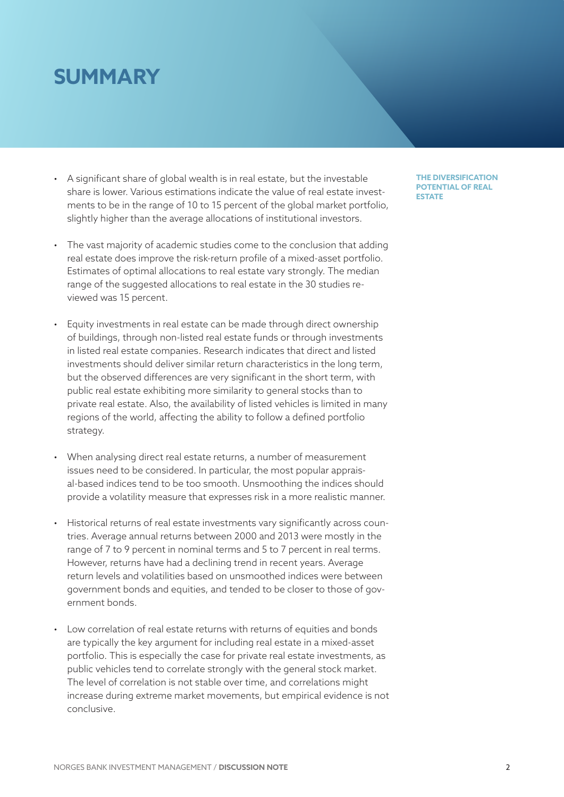# **SUMMARY**

- A significant share of global wealth is in real estate, but the investable share is lower. Various estimations indicate the value of real estate investments to be in the range of 10 to 15 percent of the global market portfolio, slightly higher than the average allocations of institutional investors.
- The vast majority of academic studies come to the conclusion that adding real estate does improve the risk-return profile of a mixed-asset portfolio. Estimates of optimal allocations to real estate vary strongly. The median range of the suggested allocations to real estate in the 30 studies reviewed was 15 percent.
- Equity investments in real estate can be made through direct ownership of buildings, through non-listed real estate funds or through investments in listed real estate companies. Research indicates that direct and listed investments should deliver similar return characteristics in the long term, but the observed differences are very significant in the short term, with public real estate exhibiting more similarity to general stocks than to private real estate. Also, the availability of listed vehicles is limited in many regions of the world, affecting the ability to follow a defined portfolio strategy.
- When analysing direct real estate returns, a number of measurement issues need to be considered. In particular, the most popular appraisal-based indices tend to be too smooth. Unsmoothing the indices should provide a volatility measure that expresses risk in a more realistic manner.
- Historical returns of real estate investments vary significantly across countries. Average annual returns between 2000 and 2013 were mostly in the range of 7 to 9 percent in nominal terms and 5 to 7 percent in real terms. However, returns have had a declining trend in recent years. Average return levels and volatilities based on unsmoothed indices were between government bonds and equities, and tended to be closer to those of government bonds.
- Low correlation of real estate returns with returns of equities and bonds are typically the key argument for including real estate in a mixed-asset portfolio. This is especially the case for private real estate investments, as public vehicles tend to correlate strongly with the general stock market. The level of correlation is not stable over time, and correlations might increase during extreme market movements, but empirical evidence is not conclusive.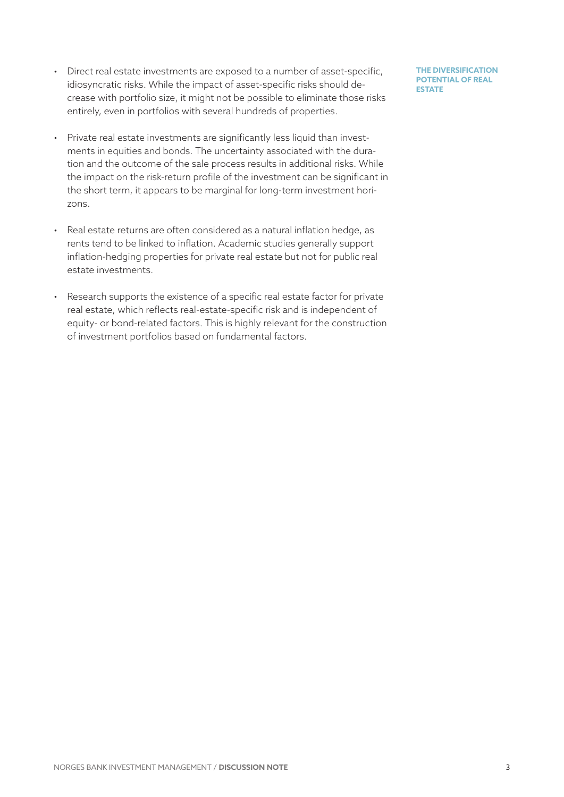- Direct real estate investments are exposed to a number of asset-specific, idiosyncratic risks. While the impact of asset-specific risks should decrease with portfolio size, it might not be possible to eliminate those risks entirely, even in portfolios with several hundreds of properties.
- Private real estate investments are significantly less liquid than investments in equities and bonds. The uncertainty associated with the duration and the outcome of the sale process results in additional risks. While the impact on the risk-return profile of the investment can be significant in the short term, it appears to be marginal for long-term investment horizons.
- Real estate returns are often considered as a natural inflation hedge, as rents tend to be linked to inflation. Academic studies generally support inflation-hedging properties for private real estate but not for public real estate investments.
- Research supports the existence of a specific real estate factor for private real estate, which reflects real-estate-specific risk and is independent of equity- or bond-related factors. This is highly relevant for the construction of investment portfolios based on fundamental factors.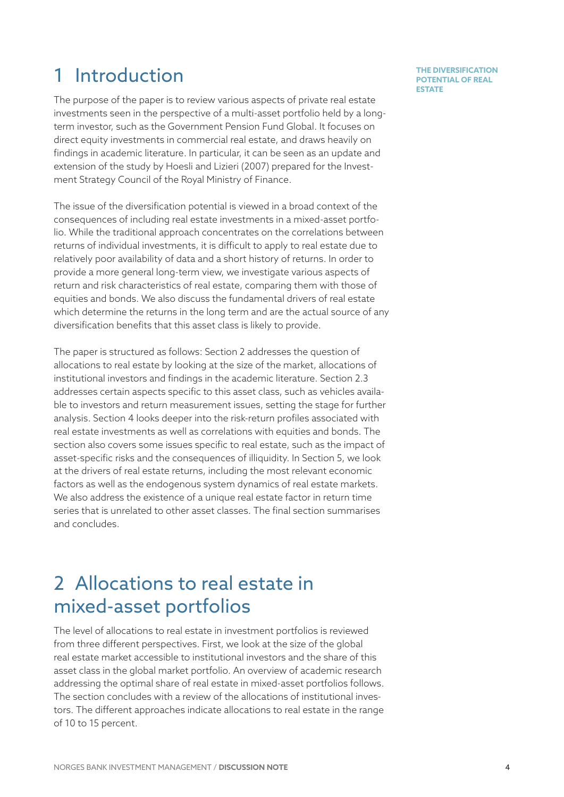# 1 Introduction

The purpose of the paper is to review various aspects of private real estate investments seen in the perspective of a multi-asset portfolio held by a longterm investor, such as the Government Pension Fund Global. It focuses on direct equity investments in commercial real estate, and draws heavily on findings in academic literature. In particular, it can be seen as an update and extension of the study by Hoesli and Lizieri (2007) prepared for the Investment Strategy Council of the Royal Ministry of Finance.

The issue of the diversification potential is viewed in a broad context of the consequences of including real estate investments in a mixed-asset portfolio. While the traditional approach concentrates on the correlations between returns of individual investments, it is difficult to apply to real estate due to relatively poor availability of data and a short history of returns. In order to provide a more general long-term view, we investigate various aspects of return and risk characteristics of real estate, comparing them with those of equities and bonds. We also discuss the fundamental drivers of real estate which determine the returns in the long term and are the actual source of any diversification benefits that this asset class is likely to provide.

The paper is structured as follows: Section [2](#page-3-0) addresses the question of allocations to real estate by looking at the size of the market, allocations of institutional investors and findings in the academic literature. Section [2.3](#page-8-0)  addresses certain aspects specific to this asset class, such as vehicles available to investors and return measurement issues, setting the stage for further analysis. Section 4 looks deeper into the risk-return profiles associated with real estate investments as well as correlations with equities and bonds. The section also covers some issues specific to real estate, such as the impact of asset-specific risks and the consequences of illiquidity. In Section 5, we look at the drivers of real estate returns, including the most relevant economic factors as well as the endogenous system dynamics of real estate markets. We also address the existence of a unique real estate factor in return time series that is unrelated to other asset classes. The final section summarises and concludes.

# <span id="page-3-0"></span>2 Allocations to real estate in mixed-asset portfolios

The level of allocations to real estate in investment portfolios is reviewed from three different perspectives. First, we look at the size of the global real estate market accessible to institutional investors and the share of this asset class in the global market portfolio. An overview of academic research addressing the optimal share of real estate in mixed-asset portfolios follows. The section concludes with a review of the allocations of institutional investors. The different approaches indicate allocations to real estate in the range of 10 to 15 percent.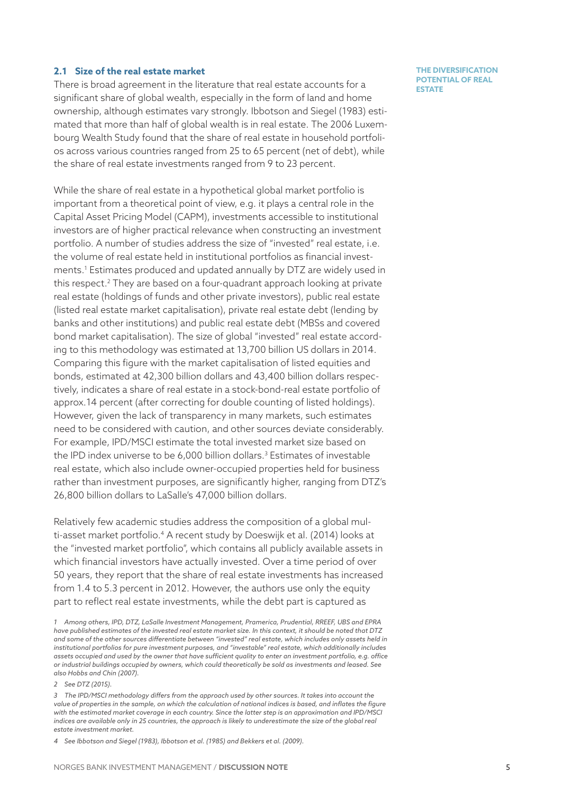# **2.1 Size of the real estate market**

There is broad agreement in the literature that real estate accounts for a significant share of global wealth, especially in the form of land and home ownership, although estimates vary strongly. Ibbotson and Siegel (1983) estimated that more than half of global wealth is in real estate. The 2006 Luxembourg Wealth Study found that the share of real estate in household portfolios across various countries ranged from 25 to 65 percent (net of debt), while the share of real estate investments ranged from 9 to 23 percent.

While the share of real estate in a hypothetical global market portfolio is important from a theoretical point of view, e.g. it plays a central role in the Capital Asset Pricing Model (CAPM), investments accessible to institutional investors are of higher practical relevance when constructing an investment portfolio. A number of studies address the size of "invested" real estate, i.e. the volume of real estate held in institutional portfolios as financial investments.1 Estimates produced and updated annually by DTZ are widely used in this respect.2 They are based on a four-quadrant approach looking at private real estate (holdings of funds and other private investors), public real estate (listed real estate market capitalisation), private real estate debt (lending by banks and other institutions) and public real estate debt (MBSs and covered bond market capitalisation). The size of global "invested" real estate according to this methodology was estimated at 13,700 billion US dollars in 2014. Comparing this figure with the market capitalisation of listed equities and bonds, estimated at 42,300 billion dollars and 43,400 billion dollars respectively, indicates a share of real estate in a stock-bond-real estate portfolio of approx.14 percent (after correcting for double counting of listed holdings). However, given the lack of transparency in many markets, such estimates need to be considered with caution, and other sources deviate considerably. For example, IPD/MSCI estimate the total invested market size based on the IPD index universe to be 6,000 billion dollars.<sup>3</sup> Estimates of investable real estate, which also include owner-occupied properties held for business rather than investment purposes, are significantly higher, ranging from DTZ's 26,800 billion dollars to LaSalle's 47,000 billion dollars.

Relatively few academic studies address the composition of a global multi-asset market portfolio.<sup>4</sup> A recent study by Doeswijk et al. (2014) looks at the "invested market portfolio", which contains all publicly available assets in which financial investors have actually invested. Over a time period of over 50 years, they report that the share of real estate investments has increased from 1.4 to 5.3 percent in 2012. However, the authors use only the equity part to reflect real estate investments, while the debt part is captured as

*2 See DTZ (2015).*

*3 The IPD/MSCI methodology differs from the approach used by other sources. It takes into account the value of properties in the sample, on which the calculation of national indices is based, and inflates the figure with the estimated market coverage in each country. Since the latter step is an approximation and IPD/MSCI indices are available only in 25 countries, the approach is likely to underestimate the size of the global real estate investment market.* 

*4 See Ibbotson and Siegel (1983), Ibbotson et al. (1985) and Bekkers et al. (2009).*

*<sup>1</sup> Among others, IPD, DTZ, LaSalle Investment Management, Pramerica, Prudential, RREEF, UBS and EPRA have published estimates of the invested real estate market size. In this context, it should be noted that DTZ and some of the other sources differentiate between "invested" real estate, which includes only assets held in institutional portfolios for pure investment purposes, and "investable" real estate, which additionally includes assets occupied and used by the owner that have sufficient quality to enter an investment portfolio, e.g. office or industrial buildings occupied by owners, which could theoretically be sold as investments and leased. See also Hobbs and Chin (2007).*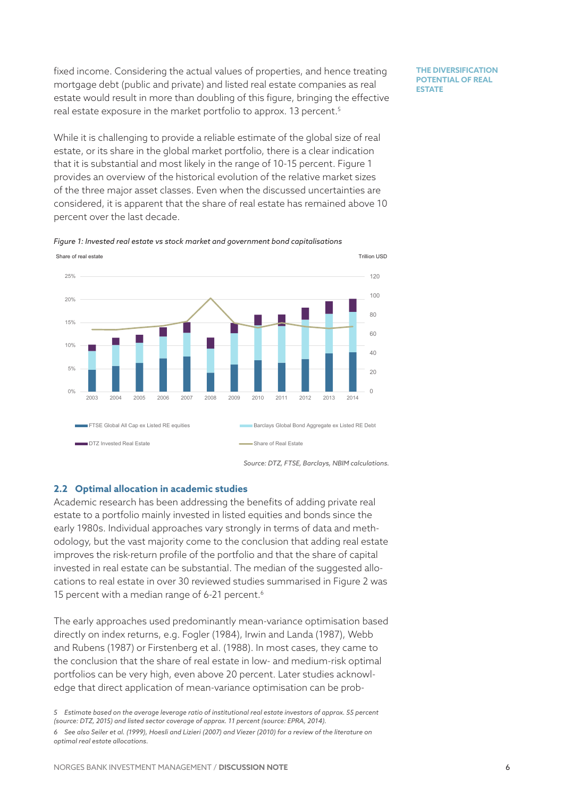fixed income. Considering the actual values of properties, and hence treating mortgage debt (public and private) and listed real estate companies as real estate would result in more than doubling of this figure, bringing the effective real estate exposure in the market portfolio to approx. 13 percent.<sup>5</sup>

**THE DIVERSIFICATION POTENTIAL OF REAL ESTATE** 

While it is challenging to provide a reliable estimate of the global size of real estate, or its share in the global market portfolio, there is a clear indication that it is substantial and most likely in the range of 10-15 percent. [Figure 1](#page-5-0) provides an overview of the historical evolution of the relative market sizes of the three major asset classes. Even when the discussed uncertainties are considered, it is apparent that the share of real estate has remained above 10 percent over the last decade.

<span id="page-5-0"></span>*Figure 1: Invested real estate vs stock market and government bond capitalisations*



# **2.2 Optimal allocation in academic studies**

Academic research has been addressing the benefits of adding private real estate to a portfolio mainly invested in listed equities and bonds since the early 1980s. Individual approaches vary strongly in terms of data and methodology, but the vast majority come to the conclusion that adding real estate improves the risk-return profile of the portfolio and that the share of capital invested in real estate can be substantial. The median of the suggested allocations to real estate in over 30 reviewed studies summarised in [Figure](#page-7-0) 2 was 15 percent with a median range of 6-21 percent.<sup>6</sup>

The early approaches used predominantly mean-variance optimisation based directly on index returns, e.g. Fogler (1984), Irwin and Landa (1987), Webb and Rubens (1987) or Firstenberg et al. (1988). In most cases, they came to the conclusion that the share of real estate in low- and medium-risk optimal portfolios can be very high, even above 20 percent. Later studies acknowledge that direct application of mean-variance optimisation can be prob-

*<sup>5</sup> Estimate based on the average leverage ratio of institutional real estate investors of approx. 55 percent (source: DTZ, 2015) and listed sector coverage of approx. 11 percent (source: EPRA, 2014). 6 See also Seiler et al. (1999), Hoesli and Lizieri (2007) and Viezer (2010) for a review of the literature on optimal real estate allocations.*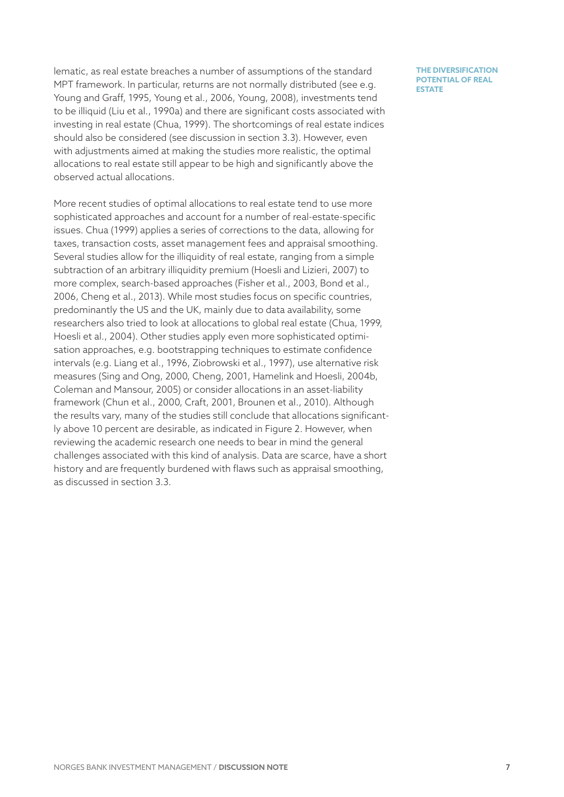lematic, as real estate breaches a number of assumptions of the standard MPT framework. In particular, returns are not normally distributed (see e.g. Young and Graff, 1995, Young et al., 2006, Young, 2008), investments tend to be illiquid (Liu et al., 1990a) and there are significant costs associated with investing in real estate (Chua, 1999). The shortcomings of real estate indices should also be considered (see discussion in section 3.3). However, even with adjustments aimed at making the studies more realistic, the optimal allocations to real estate still appear to be high and significantly above the observed actual allocations.

More recent studies of optimal allocations to real estate tend to use more sophisticated approaches and account for a number of real-estate-specific issues. Chua (1999) applies a series of corrections to the data, allowing for taxes, transaction costs, asset management fees and appraisal smoothing. Several studies allow for the illiquidity of real estate, ranging from a simple subtraction of an arbitrary illiquidity premium (Hoesli and Lizieri, 2007) to more complex, search-based approaches (Fisher et al., 2003, Bond et al., 2006, Cheng et al., 2013). While most studies focus on specific countries, predominantly the US and the UK, mainly due to data availability, some researchers also tried to look at allocations to global real estate (Chua, 1999, Hoesli et al., 2004). Other studies apply even more sophisticated optimisation approaches, e.g. bootstrapping techniques to estimate confidence intervals (e.g. Liang et al., 1996, Ziobrowski et al., 1997), use alternative risk measures (Sing and Ong, 2000, Cheng, 2001, Hamelink and Hoesli, 2004b, Coleman and Mansour, 2005) or consider allocations in an asset-liability framework (Chun et al., 2000, Craft, 2001, Brounen et al., 2010). Although the results vary, many of the studies still conclude that allocations significantly above 10 percent are desirable, as indicated in [Figure](#page-7-0) 2. However, when reviewing the academic research one needs to bear in mind the general challenges associated with this kind of analysis. Data are scarce, have a short history and are frequently burdened with flaws such as appraisal smoothing, as discussed in section 3.3.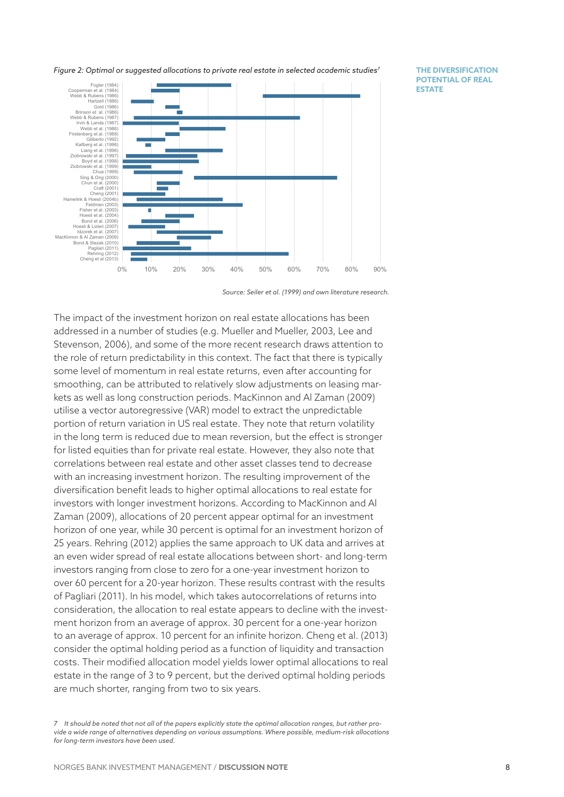<span id="page-7-0"></span>*Figure 2: Optimal or suggested allocations to private real estate in selected academic studies7*

**THE DIVERSIFICATION POTENTIAL OF REAL ESTATE** 



*Source: Seiler et al. (1999) and own literature research.*

The impact of the investment horizon on real estate allocations has been addressed in a number of studies (e.g. Mueller and Mueller, 2003, Lee and Stevenson, 2006), and some of the more recent research draws attention to the role of return predictability in this context. The fact that there is typically some level of momentum in real estate returns, even after accounting for smoothing, can be attributed to relatively slow adjustments on leasing markets as well as long construction periods. MacKinnon and Al Zaman (2009) utilise a vector autoregressive (VAR) model to extract the unpredictable portion of return variation in US real estate. They note that return volatility in the long term is reduced due to mean reversion, but the effect is stronger for listed equities than for private real estate. However, they also note that correlations between real estate and other asset classes tend to decrease with an increasing investment horizon. The resulting improvement of the diversification benefit leads to higher optimal allocations to real estate for investors with longer investment horizons. According to MacKinnon and Al Zaman (2009), allocations of 20 percent appear optimal for an investment horizon of one year, while 30 percent is optimal for an investment horizon of 25 years. Rehring (2012) applies the same approach to UK data and arrives at an even wider spread of real estate allocations between short- and long-term investors ranging from close to zero for a one-year investment horizon to over 60 percent for a 20-year horizon. These results contrast with the results of Pagliari (2011). In his model, which takes autocorrelations of returns into consideration, the allocation to real estate appears to decline with the investment horizon from an average of approx. 30 percent for a one-year horizon to an average of approx. 10 percent for an infinite horizon. Cheng et al. (2013) consider the optimal holding period as a function of liquidity and transaction costs. Their modified allocation model yields lower optimal allocations to real estate in the range of 3 to 9 percent, but the derived optimal holding periods are much shorter, ranging from two to six years.

*<sup>7</sup> It should be noted that not all of the papers explicitly state the optimal allocation ranges, but rather provide a wide range of alternatives depending on various assumptions. Where possible, medium-risk allocations for long-term investors have been used.*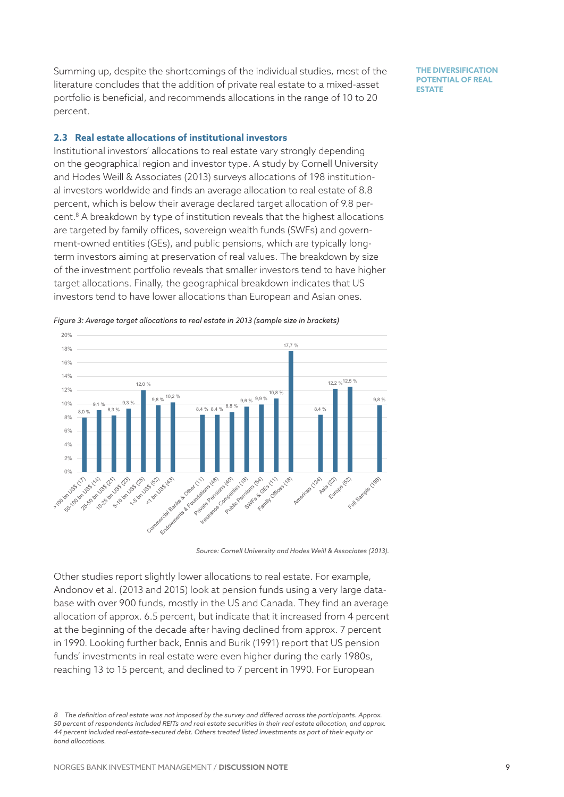Summing up, despite the shortcomings of the individual studies, most of the literature concludes that the addition of private real estate to a mixed-asset portfolio is beneficial, and recommends allocations in the range of 10 to 20 percent.

**THE DIVERSIFICATION POTENTIAL OF REAL ESTATE** 

### <span id="page-8-0"></span>**2.3 Real estate allocations of institutional investors**

Institutional investors' allocations to real estate vary strongly depending on the geographical region and investor type. A study by Cornell University and Hodes Weill & Associates (2013) surveys allocations of 198 institutional investors worldwide and finds an average allocation to real estate of 8.8 percent, which is below their average declared target allocation of 9.8 percent.8 A breakdown by type of institution reveals that the highest allocations are targeted by family offices, sovereign wealth funds (SWFs) and government-owned entities (GEs), and public pensions, which are typically longterm investors aiming at preservation of real values. The breakdown by size of the investment portfolio reveals that smaller investors tend to have higher target allocations. Finally, the geographical breakdown indicates that US investors tend to have lower allocations than European and Asian ones.



*Figure 3: Average target allocations to real estate in 2013 (sample size in brackets)*

*Source: Cornell University and Hodes Weill & Associates (2013).*

Other studies report slightly lower allocations to real estate. For example, Andonov et al. (2013 and 2015) look at pension funds using a very large database with over 900 funds, mostly in the US and Canada. They find an average allocation of approx. 6.5 percent, but indicate that it increased from 4 percent at the beginning of the decade after having declined from approx. 7 percent in 1990. Looking further back, Ennis and Burik (1991) report that US pension funds' investments in real estate were even higher during the early 1980s, reaching 13 to 15 percent, and declined to 7 percent in 1990. For European

*8 The definition of real estate was not imposed by the survey and differed across the participants. Approx. 50 percent of respondents included REITs and real estate securities in their real estate allocation, and approx. 44 percent included real-estate-secured debt. Others treated listed investments as part of their equity or bond allocations.*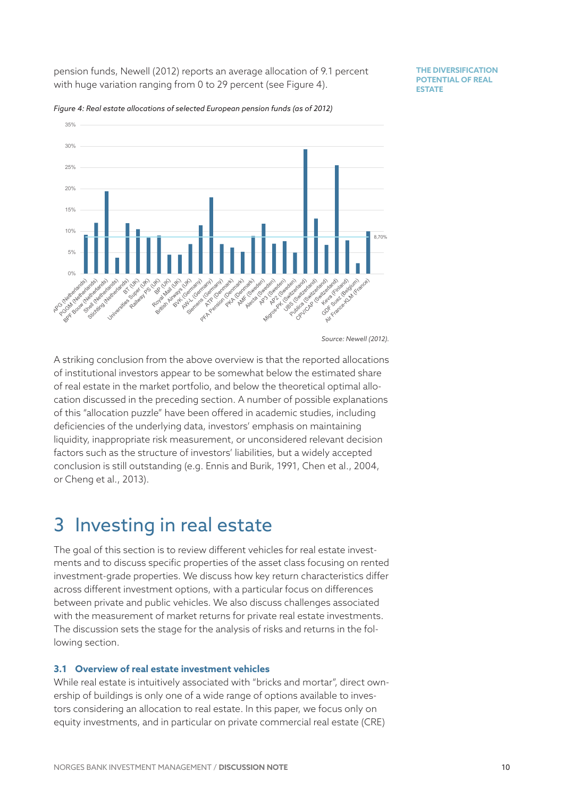pension funds, Newell (2012) reports an average allocation of 9.1 percent with huge variation ranging from 0 to 29 percent (see [Figure 4](#page-9-0)).

**THE DIVERSIFICATION POTENTIAL OF REAL ESTATE** 



<span id="page-9-0"></span>*Figure 4: Real estate allocations of selected European pension funds (as of 2012)*

A striking conclusion from the above overview is that the reported allocations of institutional investors appear to be somewhat below the estimated share of real estate in the market portfolio, and below the theoretical optimal allocation discussed in the preceding section. A number of possible explanations of this "allocation puzzle" have been offered in academic studies, including deficiencies of the underlying data, investors' emphasis on maintaining liquidity, inappropriate risk measurement, or unconsidered relevant decision factors such as the structure of investors' liabilities, but a widely accepted conclusion is still outstanding (e.g. Ennis and Burik, 1991, Chen et al., 2004, or Cheng et al., 2013).

# 3 Investing in real estate

The goal of this section is to review different vehicles for real estate investments and to discuss specific properties of the asset class focusing on rented investment-grade properties. We discuss how key return characteristics differ across different investment options, with a particular focus on differences between private and public vehicles. We also discuss challenges associated with the measurement of market returns for private real estate investments. The discussion sets the stage for the analysis of risks and returns in the following section.

# **3.1 Overview of real estate investment vehicles**

While real estate is intuitively associated with "bricks and mortar", direct ownership of buildings is only one of a wide range of options available to investors considering an allocation to real estate. In this paper, we focus only on equity investments, and in particular on private commercial real estate (CRE)

*Source: Newell (2012).*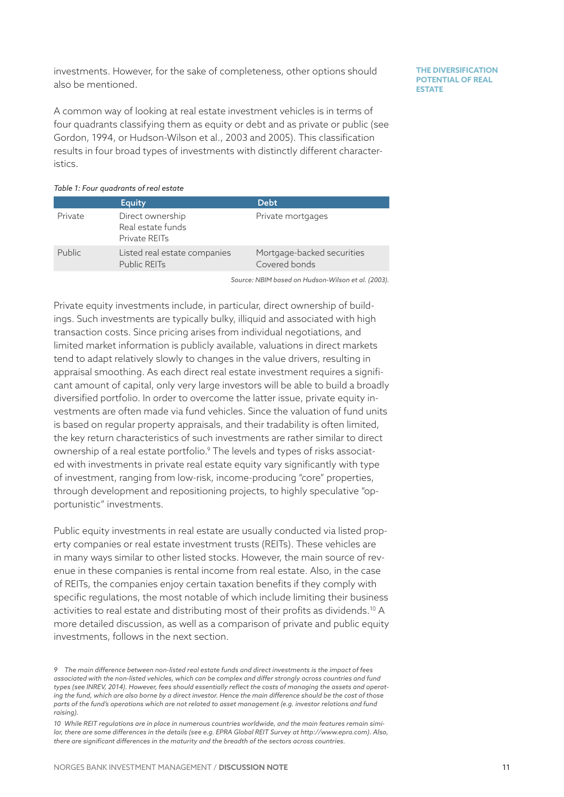investments. However, for the sake of completeness, other options should also be mentioned.

A common way of looking at real estate investment vehicles is in terms of four quadrants classifying them as equity or debt and as private or public (see Gordon, 1994, or Hudson-Wilson et al., 2003 and 2005). This classification results in four broad types of investments with distinctly different characteristics.

| Table 1: Four quadrants of real estate |                                                        |                                             |  |  |  |  |
|----------------------------------------|--------------------------------------------------------|---------------------------------------------|--|--|--|--|
|                                        | <b>Equity</b>                                          | <b>Debt</b>                                 |  |  |  |  |
| Private                                | Direct ownership<br>Real estate funds<br>Private REITs | Private mortgages                           |  |  |  |  |
| <b>Public</b>                          | Listed real estate companies<br><b>Public REITs</b>    | Mortgage-backed securities<br>Covered bonds |  |  |  |  |

*Source: NBIM based on Hudson-Wilson et al. (2003).*

Private equity investments include, in particular, direct ownership of buildings. Such investments are typically bulky, illiquid and associated with high transaction costs. Since pricing arises from individual negotiations, and limited market information is publicly available, valuations in direct markets tend to adapt relatively slowly to changes in the value drivers, resulting in appraisal smoothing. As each direct real estate investment requires a significant amount of capital, only very large investors will be able to build a broadly diversified portfolio. In order to overcome the latter issue, private equity investments are often made via fund vehicles. Since the valuation of fund units is based on regular property appraisals, and their tradability is often limited, the key return characteristics of such investments are rather similar to direct ownership of a real estate portfolio.9 The levels and types of risks associated with investments in private real estate equity vary significantly with type of investment, ranging from low-risk, income-producing "core" properties, through development and repositioning projects, to highly speculative "opportunistic" investments.

Public equity investments in real estate are usually conducted via listed property companies or real estate investment trusts (REITs). These vehicles are in many ways similar to other listed stocks. However, the main source of revenue in these companies is rental income from real estate. Also, in the case of REITs, the companies enjoy certain taxation benefits if they comply with specific regulations, the most notable of which include limiting their business activities to real estate and distributing most of their profits as dividends.<sup>10</sup> A more detailed discussion, as well as a comparison of private and public equity investments, follows in the next section.

*<sup>9</sup> The main difference between non-listed real estate funds and direct investments is the impact of fees associated with the non-listed vehicles, which can be complex and differ strongly across countries and fund types (see INREV, 2014). However, fees should essentially reflect the costs of managing the assets and operating the fund, which are also borne by a direct investor. Hence the main difference should be the cost of those parts of the fund's operations which are not related to asset management (e.g. investor relations and fund raising).*

*<sup>10</sup> While REIT regulations are in place in numerous countries worldwide, and the main features remain similar, there are some differences in the details (see e.g. EPRA Global REIT Survey at http://www.epra.com). Also, there are significant differences in the maturity and the breadth of the sectors across countries.*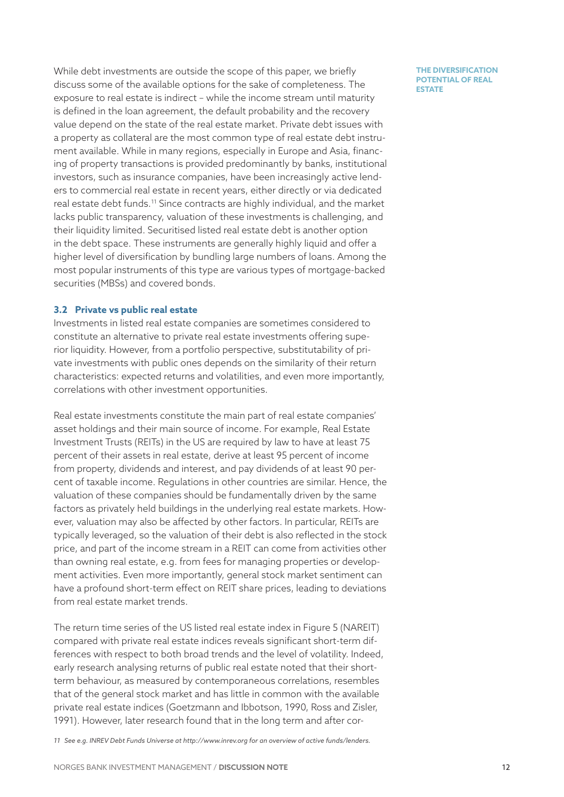While debt investments are outside the scope of this paper, we briefly discuss some of the available options for the sake of completeness. The exposure to real estate is indirect – while the income stream until maturity is defined in the loan agreement, the default probability and the recovery value depend on the state of the real estate market. Private debt issues with a property as collateral are the most common type of real estate debt instrument available. While in many regions, especially in Europe and Asia, financing of property transactions is provided predominantly by banks, institutional investors, such as insurance companies, have been increasingly active lenders to commercial real estate in recent years, either directly or via dedicated real estate debt funds.11 Since contracts are highly individual, and the market lacks public transparency, valuation of these investments is challenging, and their liquidity limited. Securitised listed real estate debt is another option in the debt space. These instruments are generally highly liquid and offer a higher level of diversification by bundling large numbers of loans. Among the most popular instruments of this type are various types of mortgage-backed securities (MBSs) and covered bonds.

### <span id="page-11-0"></span>**3.2 Private vs public real estate**

Investments in listed real estate companies are sometimes considered to constitute an alternative to private real estate investments offering superior liquidity. However, from a portfolio perspective, substitutability of private investments with public ones depends on the similarity of their return characteristics: expected returns and volatilities, and even more importantly, correlations with other investment opportunities.

Real estate investments constitute the main part of real estate companies' asset holdings and their main source of income. For example, Real Estate Investment Trusts (REITs) in the US are required by law to have at least 75 percent of their assets in real estate, derive at least 95 percent of income from property, dividends and interest, and pay dividends of at least 90 percent of taxable income. Regulations in other countries are similar. Hence, the valuation of these companies should be fundamentally driven by the same factors as privately held buildings in the underlying real estate markets. However, valuation may also be affected by other factors. In particular, REITs are typically leveraged, so the valuation of their debt is also reflected in the stock price, and part of the income stream in a REIT can come from activities other than owning real estate, e.g. from fees for managing properties or development activities. Even more importantly, general stock market sentiment can have a profound short-term effect on REIT share prices, leading to deviations from real estate market trends.

The return time series of the US listed real estate index in [Figure](#page-14-0) 5 (NAREIT) compared with private real estate indices reveals significant short-term differences with respect to both broad trends and the level of volatility. Indeed, early research analysing returns of public real estate noted that their shortterm behaviour, as measured by contemporaneous correlations, resembles that of the general stock market and has little in common with the available private real estate indices (Goetzmann and Ibbotson, 1990, Ross and Zisler, 1991). However, later research found that in the long term and after cor-

*11 See e.g. INREV Debt Funds Universe at http://www.inrev.org for an overview of active funds/lenders.*

NORGES BANK INVESTMENT MANAGEMENT / **DISCUSSION NOTE**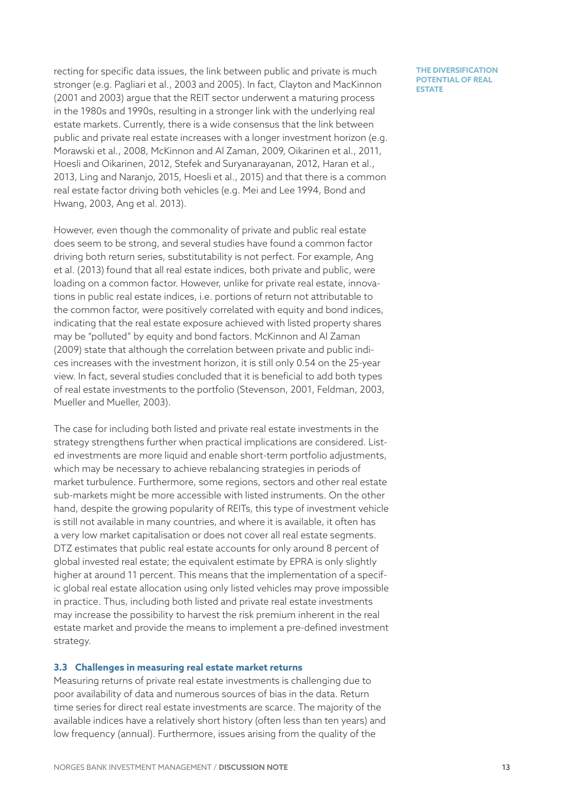recting for specific data issues, the link between public and private is much stronger (e.g. Pagliari et al., 2003 and 2005). In fact, Clayton and MacKinnon (2001 and 2003) argue that the REIT sector underwent a maturing process in the 1980s and 1990s, resulting in a stronger link with the underlying real estate markets. Currently, there is a wide consensus that the link between public and private real estate increases with a longer investment horizon (e.g. Morawski et al., 2008, McKinnon and Al Zaman, 2009, Oikarinen et al., 2011, Hoesli and Oikarinen, 2012, Stefek and Suryanarayanan, 2012, Haran et al., 2013, Ling and Naranjo, 2015, Hoesli et al., 2015) and that there is a common real estate factor driving both vehicles (e.g. Mei and Lee 1994, Bond and Hwang, 2003, Ang et al. 2013).

However, even though the commonality of private and public real estate does seem to be strong, and several studies have found a common factor driving both return series, substitutability is not perfect. For example, Ang et al. (2013) found that all real estate indices, both private and public, were loading on a common factor. However, unlike for private real estate, innovations in public real estate indices, i.e. portions of return not attributable to the common factor, were positively correlated with equity and bond indices, indicating that the real estate exposure achieved with listed property shares may be "polluted" by equity and bond factors. McKinnon and Al Zaman (2009) state that although the correlation between private and public indices increases with the investment horizon, it is still only 0.54 on the 25-year view. In fact, several studies concluded that it is beneficial to add both types of real estate investments to the portfolio (Stevenson, 2001, Feldman, 2003, Mueller and Mueller, 2003).

The case for including both listed and private real estate investments in the strategy strengthens further when practical implications are considered. Listed investments are more liquid and enable short-term portfolio adjustments, which may be necessary to achieve rebalancing strategies in periods of market turbulence. Furthermore, some regions, sectors and other real estate sub-markets might be more accessible with listed instruments. On the other hand, despite the growing popularity of REITs, this type of investment vehicle is still not available in many countries, and where it is available, it often has a very low market capitalisation or does not cover all real estate segments. DTZ estimates that public real estate accounts for only around 8 percent of global invested real estate; the equivalent estimate by EPRA is only slightly higher at around 11 percent. This means that the implementation of a specific global real estate allocation using only listed vehicles may prove impossible in practice. Thus, including both listed and private real estate investments may increase the possibility to harvest the risk premium inherent in the real estate market and provide the means to implement a pre-defined investment strategy.

### <span id="page-12-0"></span>**3.3 Challenges in measuring real estate market returns**

Measuring returns of private real estate investments is challenging due to poor availability of data and numerous sources of bias in the data. Return time series for direct real estate investments are scarce. The majority of the available indices have a relatively short history (often less than ten years) and low frequency (annual). Furthermore, issues arising from the quality of the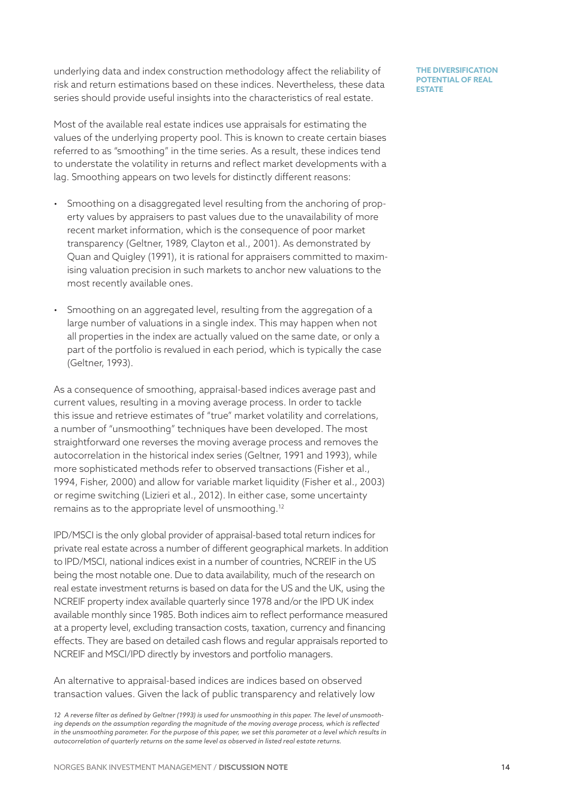underlying data and index construction methodology affect the reliability of risk and return estimations based on these indices. Nevertheless, these data series should provide useful insights into the characteristics of real estate.

Most of the available real estate indices use appraisals for estimating the values of the underlying property pool. This is known to create certain biases referred to as "smoothing" in the time series. As a result, these indices tend to understate the volatility in returns and reflect market developments with a lag. Smoothing appears on two levels for distinctly different reasons:

- Smoothing on a disaggregated level resulting from the anchoring of property values by appraisers to past values due to the unavailability of more recent market information, which is the consequence of poor market transparency (Geltner, 1989, Clayton et al., 2001). As demonstrated by Quan and Quigley (1991), it is rational for appraisers committed to maximising valuation precision in such markets to anchor new valuations to the most recently available ones.
- Smoothing on an aggregated level, resulting from the aggregation of a large number of valuations in a single index. This may happen when not all properties in the index are actually valued on the same date, or only a part of the portfolio is revalued in each period, which is typically the case (Geltner, 1993).

As a consequence of smoothing, appraisal-based indices average past and current values, resulting in a moving average process. In order to tackle this issue and retrieve estimates of "true" market volatility and correlations, a number of "unsmoothing" techniques have been developed. The most straightforward one reverses the moving average process and removes the autocorrelation in the historical index series (Geltner, 1991 and 1993), while more sophisticated methods refer to observed transactions (Fisher et al., 1994, Fisher, 2000) and allow for variable market liquidity (Fisher et al., 2003) or regime switching (Lizieri et al., 2012). In either case, some uncertainty remains as to the appropriate level of unsmoothing.12

IPD/MSCI is the only global provider of appraisal-based total return indices for private real estate across a number of different geographical markets. In addition to IPD/MSCI, national indices exist in a number of countries, NCREIF in the US being the most notable one. Due to data availability, much of the research on real estate investment returns is based on data for the US and the UK, using the NCREIF property index available quarterly since 1978 and/or the IPD UK index available monthly since 1985. Both indices aim to reflect performance measured at a property level, excluding transaction costs, taxation, currency and financing effects. They are based on detailed cash flows and regular appraisals reported to NCREIF and MSCI/IPD directly by investors and portfolio managers.

An alternative to appraisal-based indices are indices based on observed transaction values. Given the lack of public transparency and relatively low

*<sup>12</sup> A reverse filter as defined by Geltner (1993) is used for unsmoothing in this paper. The level of unsmoothing depends on the assumption regarding the magnitude of the moving average process, which is reflected*  in the unsmoothing parameter. For the purpose of this paper, we set this parameter at a level which results in *autocorrelation of quarterly returns on the same level as observed in listed real estate returns.*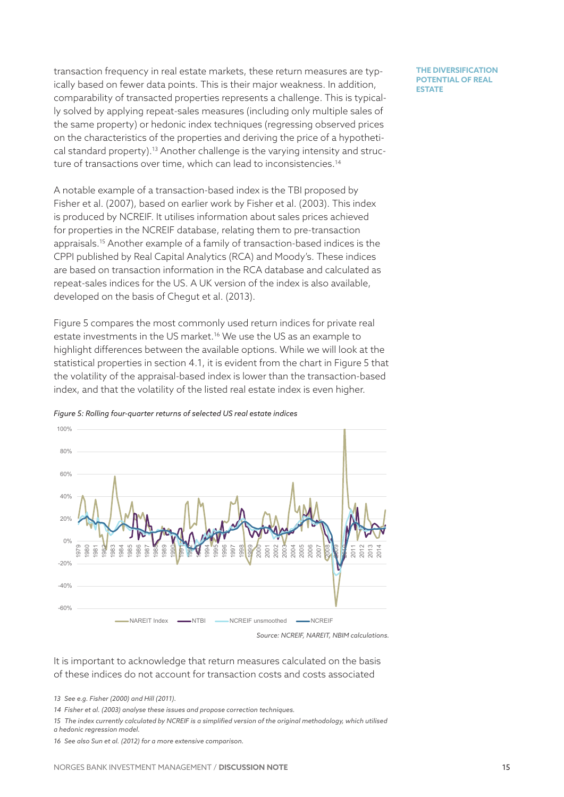transaction frequency in real estate markets, these return measures are typically based on fewer data points. This is their major weakness. In addition, comparability of transacted properties represents a challenge. This is typically solved by applying repeat-sales measures (including only multiple sales of the same property) or hedonic index techniques (regressing observed prices on the characteristics of the properties and deriving the price of a hypothetical standard property).13 Another challenge is the varying intensity and structure of transactions over time, which can lead to inconsistencies.<sup>14</sup>

A notable example of a transaction-based index is the TBI proposed by Fisher et al. (2007), based on earlier work by Fisher et al. (2003). This index is produced by NCREIF. It utilises information about sales prices achieved for properties in the NCREIF database, relating them to pre-transaction appraisals.15 Another example of a family of transaction-based indices is the CPPI published by Real Capital Analytics (RCA) and Moody's. These indices are based on transaction information in the RCA database and calculated as repeat-sales indices for the US. A UK version of the index is also available, developed on the basis of Chegut et al. (2013).

[Figure 5](#page-14-0) compares the most commonly used return indices for private real estate investments in the US market.<sup>16</sup> We use the US as an example to highlight differences between the available options. While we will look at the statistical properties in section [4.1](#page-15-0), it is evident from the chart in Figure 5 that the volatility of the appraisal-based index is lower than the transaction-based index, and that the volatility of the listed real estate index is even higher.



<span id="page-14-0"></span>*Figure 5: Rolling four-quarter returns of selected US real estate indices*

*Source: NCREIF, NAREIT, NBIM calculations.*

# It is important to acknowledge that return measures calculated on the basis of these indices do not account for transaction costs and costs associated

*13 See e.g. Fisher (2000) and Hill (2011).*

15 The index currently calculated by NCREIF is a simplified version of the original methodology, which utilised *a hedonic regression model.*

*<sup>14</sup> Fisher et al. (2003) analyse these issues and propose correction techniques.*

*<sup>16</sup> See also Sun et al. (2012) for a more extensive comparison.*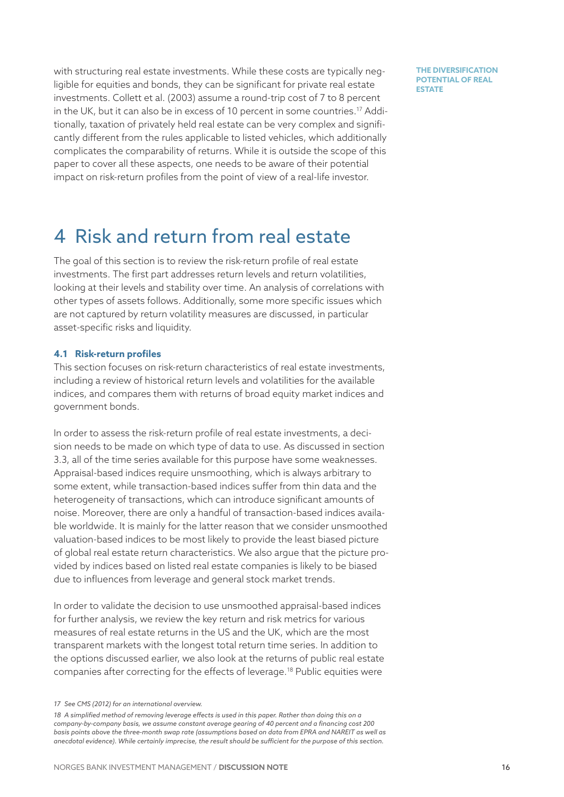with structuring real estate investments. While these costs are typically negligible for equities and bonds, they can be significant for private real estate investments. Collett et al. (2003) assume a round-trip cost of 7 to 8 percent in the UK, but it can also be in excess of 10 percent in some countries.17 Additionally, taxation of privately held real estate can be very complex and significantly different from the rules applicable to listed vehicles, which additionally complicates the comparability of returns. While it is outside the scope of this paper to cover all these aspects, one needs to be aware of their potential impact on risk-return profiles from the point of view of a real-life investor.

**THE DIVERSIFICATION POTENTIAL OF REAL ESTATE** 

# 4 Risk and return from real estate

The goal of this section is to review the risk-return profile of real estate investments. The first part addresses return levels and return volatilities, looking at their levels and stability over time. An analysis of correlations with other types of assets follows. Additionally, some more specific issues which are not captured by return volatility measures are discussed, in particular asset-specific risks and liquidity.

# <span id="page-15-0"></span>**4.1 Risk-return profiles**

This section focuses on risk-return characteristics of real estate investments, including a review of historical return levels and volatilities for the available indices, and compares them with returns of broad equity market indices and government bonds.

In order to assess the risk-return profile of real estate investments, a decision needs to be made on which type of data to use. As discussed in section [3.3,](#page-12-0) all of the time series available for this purpose have some weaknesses. Appraisal-based indices require unsmoothing, which is always arbitrary to some extent, while transaction-based indices suffer from thin data and the heterogeneity of transactions, which can introduce significant amounts of noise. Moreover, there are only a handful of transaction-based indices available worldwide. It is mainly for the latter reason that we consider unsmoothed valuation-based indices to be most likely to provide the least biased picture of global real estate return characteristics. We also argue that the picture provided by indices based on listed real estate companies is likely to be biased due to influences from leverage and general stock market trends.

In order to validate the decision to use unsmoothed appraisal-based indices for further analysis, we review the key return and risk metrics for various measures of real estate returns in the US and the UK, which are the most transparent markets with the longest total return time series. In addition to the options discussed earlier, we also look at the returns of public real estate companies after correcting for the effects of leverage.18 Public equities were

*<sup>17</sup> See CMS (2012) for an international overview.*

*<sup>18</sup> A simplified method of removing leverage effects is used in this paper. Rather than doing this on a company-by-company basis, we assume constant average gearing of 40 percent and a financing cost 200 basis points above the three-month swap rate (assumptions based on data from EPRA and NAREIT as well as anecdotal evidence). While certainly imprecise, the result should be sufficient for the purpose of this section.*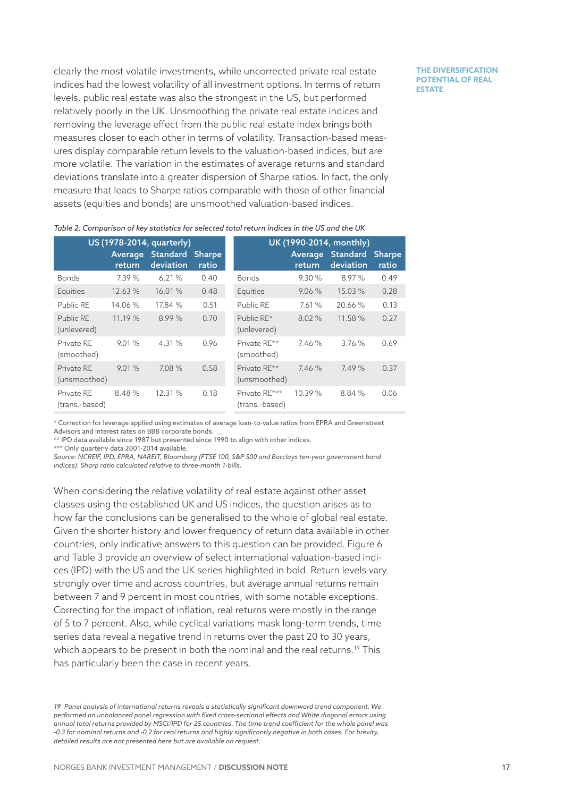clearly the most volatile investments, while uncorrected private real estate indices had the lowest volatility of all investment options. In terms of return levels, public real estate was also the strongest in the US, but performed relatively poorly in the UK. Unsmoothing the private real estate indices and removing the leverage effect from the public real estate index brings both measures closer to each other in terms of volatility. Transaction-based measures display comparable return levels to the valuation-based indices, but are more volatile. The variation in the estimates of average returns and standard deviations translate into a greater dispersion of Sharpe ratios. In fact, the only measure that leads to Sharpe ratios comparable with those of other financial assets (equities and bonds) are unsmoothed valuation-based indices.

#### **THE DIVERSIFICATION POTENTIAL OF REAL ESTATE**

|                              |                   | US (1978-2014, quarterly)    |                        | UK (1990-2014, monthly)         |                   |                              |                        |  |
|------------------------------|-------------------|------------------------------|------------------------|---------------------------------|-------------------|------------------------------|------------------------|--|
|                              | Average<br>return | <b>Standard</b><br>deviation | <b>Sharpe</b><br>ratio |                                 | Average<br>return | <b>Standard</b><br>deviation | <b>Sharpe</b><br>ratio |  |
| <b>Bonds</b>                 | 7.39%             | 6.21%                        | 0.40                   | <b>Bonds</b>                    | 9.30%             | 8.97 %                       | 0.49                   |  |
| Equities                     | 12.63%            | 16.01 %                      | 0.48                   | Equities                        | 9.06%             | 15.03 %                      | 0.28                   |  |
| Public RE                    | 14.06 %           | 17.84 %                      | 0.51                   | Public RE                       | 7.61%             | 20.66%                       | 0.13                   |  |
| Public RE<br>(unlevered)     | 11.19%            | 8.99%                        | 0.70                   | Public RE*<br>(unlevered)       | 8.02%             | 11.58 %                      | 0.27                   |  |
| Private RE<br>(smoothed)     | 9.01%             | 4.31 %                       | 0.96                   | Private RF**<br>(smoothed)      | 7.46%             | 3.76%                        | 0.69                   |  |
| Private RE<br>(unsmoothed)   | 9.01%             | 7.08 %                       | 0.58                   | Private RE**<br>(unsmoothed)    | 7.46%             | 7.49%                        | 0.37                   |  |
| Private RE<br>(trans.-based) | 8.48%             | 12.31 %                      | 0.18                   | Private RE***<br>(trans.-based) | 10.39 %           | 8.84 %                       | 0.06                   |  |

*Table 2: Comparison of key statistics for selected total return indices in the US and the UK*

\* Correction for leverage applied using estimates of average loan-to-value ratios from EPRA and Greenstreet Advisors and interest rates on BBB corporate bonds.

\*\* IPD data available since 1987 but presented since 1990 to align with other indices.

\*\*\* Only quarterly data 2001-2014 available.

*Source: NCREIF, IPD, EPRA, NAREIT, Bloomberg (FTSE 100, S&P 500 and Barclays ten-year government bond indices). Sharp ratio calculated relative to three-month T-bills.*

When considering the relative volatility of real estate against other asset classes using the established UK and US indices, the question arises as to how far the conclusions can be generalised to the whole of global real estate. Given the shorter history and lower frequency of return data available in other countries, only indicative answers to this question can be provided. [Figure 6](#page-17-0) and [Table](#page-17-1) 3 provide an overview of select international valuation-based indices (IPD) with the US and the UK series highlighted in bold. Return levels vary strongly over time and across countries, but average annual returns remain between 7 and 9 percent in most countries, with some notable exceptions. Correcting for the impact of inflation, real returns were mostly in the range of 5 to 7 percent. Also, while cyclical variations mask long-term trends, time series data reveal a negative trend in returns over the past 20 to 30 years, which appears to be present in both the nominal and the real returns.<sup>19</sup> This has particularly been the case in recent years.

*<sup>19</sup> Panel analysis of international returns reveals a statistically significant downward trend component. We performed an unbalanced panel regression with fixed cross-sectional effects and White diagonal errors using annual total returns provided by MSCI/IPD for 25 countries. The time trend coefficient for the whole panel was -0.3 for nominal returns and -0.2 for real returns and highly significantly negative in both cases. For brevity, detailed results are not presented here but are available on request.*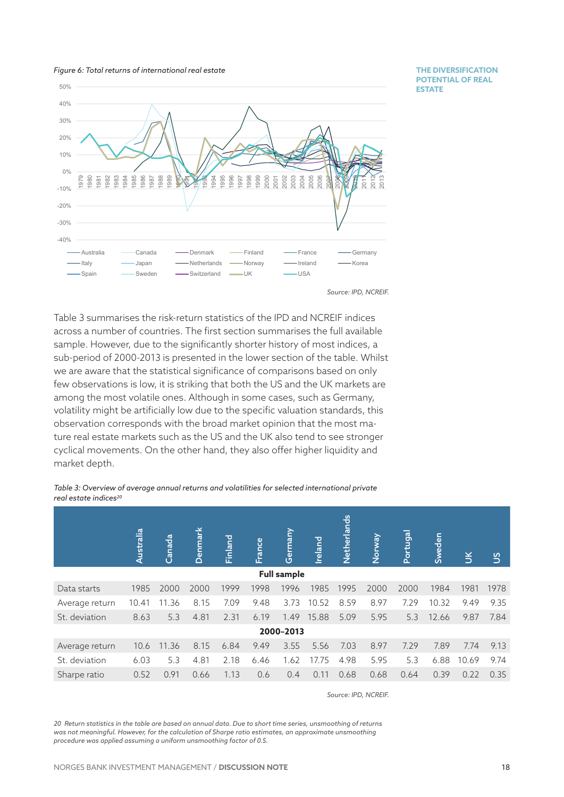<span id="page-17-0"></span>



**THE DIVERSIFICATION POTENTIAL OF REAL ESTATE** 

[Table 3](#page-17-1) summarises the risk-return statistics of the IPD and NCREIF indices across a number of countries. The first section summarises the full available sample. However, due to the significantly shorter history of most indices, a sub-period of 2000-2013 is presented in the lower section of the table. Whilst we are aware that the statistical significance of comparisons based on only few observations is low, it is striking that both the US and the UK markets are among the most volatile ones. Although in some cases, such as Germany, volatility might be artificially low due to the specific valuation standards, this observation corresponds with the broad market opinion that the most mature real estate markets such as the US and the UK also tend to see stronger cyclical movements. On the other hand, they also offer higher liquidity and market depth.

<span id="page-17-1"></span>*Table 3: Overview of average annual returns and volatilities for selected international private real estate indices20*

|                    | Australia | Canada | Denmark | Finland | France | Germany | Ireland | Netherlands | Norway | Portugal | Sweden | $\leq$ | S    |
|--------------------|-----------|--------|---------|---------|--------|---------|---------|-------------|--------|----------|--------|--------|------|
| <b>Full sample</b> |           |        |         |         |        |         |         |             |        |          |        |        |      |
| Data starts        | 1985      | 2000   | 2000    | 1999    | 1998   | 1996    | 1985    | 1995        | 2000   | 2000     | 1984   | 1981   | 1978 |
| Average return     | 10.41     | 11.36  | 8.15    | 7.09    | 9.48   | 3.73    | 10.52   | 8.59        | 8.97   | 7.29     | 10.32  | 9.49   | 9.35 |
| St. deviation      | 8.63      | 5.3    | 4.81    | 2.31    | 6.19   | 1.49    | 15.88   | 5.09        | 5.95   | 5.3      | 12.66  | 9.87   | 7.84 |
| 2000-2013          |           |        |         |         |        |         |         |             |        |          |        |        |      |
| Average return     | 10.6      | 11.36  | 8.15    | 6.84    | 9.49   | 3.55    | 5.56    | 7.03        | 8.97   | 7.29     | 7.89   | 7.74   | 9.13 |
| St. deviation      | 6.03      | 5.3    | 4.81    | 2.18    | 6.46   | 1.62    | 17.75   | 4.98        | 5.95   | 5.3      | 6.88   | 10.69  | 9.74 |
| Sharpe ratio       | 0.52      | 0.91   | 0.66    | 1.13    | 0.6    | 0.4     | 0.11    | 0.68        | 0.68   | 0.64     | 0.39   | 0.22   | 0.35 |

*Source: IPD, NCREIF.*

*20 Return statistics in the table are based on annual data. Due to short time series, unsmoothing of returns was not meaningful. However, for the calculation of Sharpe ratio estimates, an approximate unsmoothing procedure was applied assuming a uniform unsmoothing factor of 0.5.*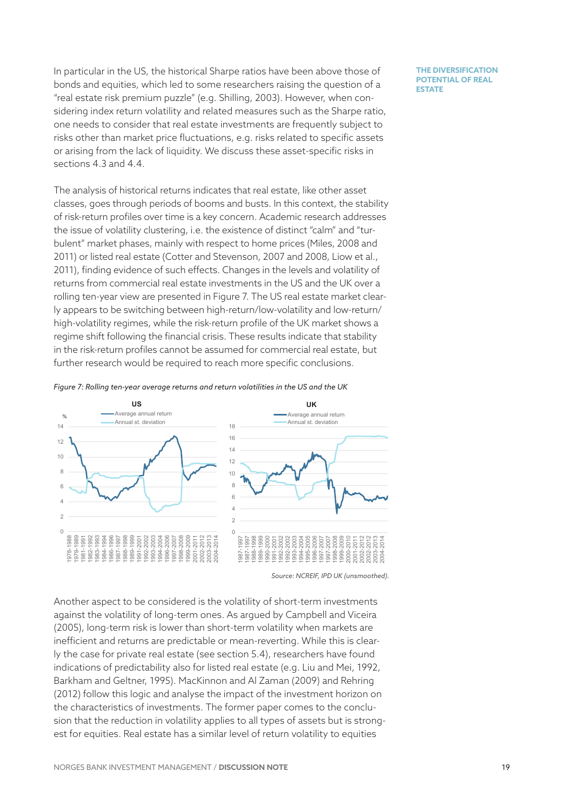In particular in the US, the historical Sharpe ratios have been above those of bonds and equities, which led to some researchers raising the question of a "real estate risk premium puzzle" (e.g. Shilling, 2003). However, when considering index return volatility and related measures such as the Sharpe ratio, one needs to consider that real estate investments are frequently subject to risks other than market price fluctuations, e.g. risks related to specific assets or arising from the lack of liquidity. We discuss these asset-specific risks in sections [4.3](#page-22-0) and 4.4.

The analysis of historical returns indicates that real estate, like other asset classes, goes through periods of booms and busts. In this context, the stability of risk-return profiles over time is a key concern. Academic research addresses the issue of volatility clustering, i.e. the existence of distinct "calm" and "turbulent" market phases, mainly with respect to home prices (Miles, 2008 and 2011) or listed real estate (Cotter and Stevenson, 2007 and 2008, Liow et al., 2011), finding evidence of such effects. Changes in the levels and volatility of returns from commercial real estate investments in the US and the UK over a rolling ten-year view are presented in [Figure 7](#page-18-0). The US real estate market clearly appears to be switching between high-return/low-volatility and low-return/ high-volatility regimes, while the risk-return profile of the UK market shows a regime shift following the financial crisis. These results indicate that stability in the risk-return profiles cannot be assumed for commercial real estate, but further research would be required to reach more specific conclusions.

<span id="page-18-0"></span>



*Source: NCREIF, IPD UK (unsmoothed).*

Another aspect to be considered is the volatility of short-term investments against the volatility of long-term ones. As argued by Campbell and Viceira (2005), long-term risk is lower than short-term volatility when markets are inefficient and returns are predictable or mean-reverting. While this is clearly the case for private real estate (see section 5.4), researchers have found indications of predictability also for listed real estate (e.g. Liu and Mei, 1992, Barkham and Geltner, 1995). MacKinnon and Al Zaman (2009) and Rehring (2012) follow this logic and analyse the impact of the investment horizon on the characteristics of investments. The former paper comes to the conclusion that the reduction in volatility applies to all types of assets but is strongest for equities. Real estate has a similar level of return volatility to equities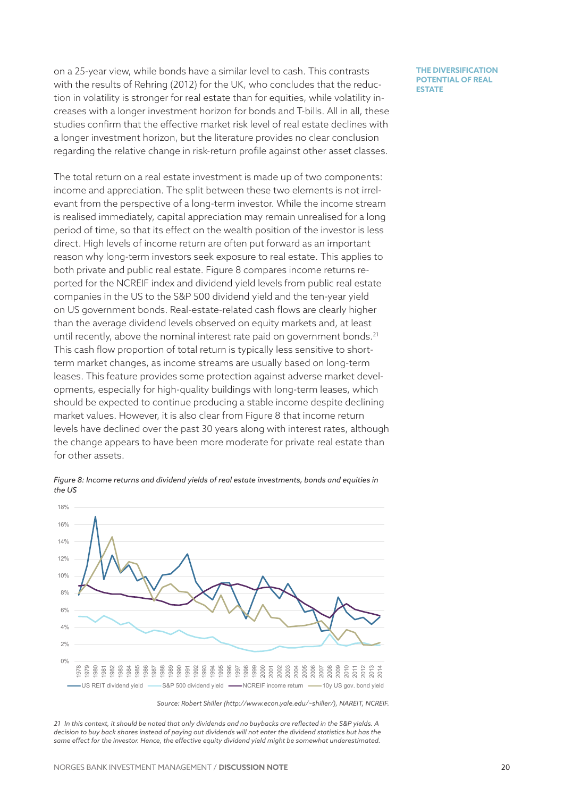on a 25-year view, while bonds have a similar level to cash. This contrasts with the results of Rehring (2012) for the UK, who concludes that the reduction in volatility is stronger for real estate than for equities, while volatility increases with a longer investment horizon for bonds and T-bills. All in all, these studies confirm that the effective market risk level of real estate declines with a longer investment horizon, but the literature provides no clear conclusion regarding the relative change in risk-return profile against other asset classes.

The total return on a real estate investment is made up of two components: income and appreciation. The split between these two elements is not irrelevant from the perspective of a long-term investor. While the income stream is realised immediately, capital appreciation may remain unrealised for a long period of time, so that its effect on the wealth position of the investor is less direct. High levels of income return are often put forward as an important reason why long-term investors seek exposure to real estate. This applies to both private and public real estate. [Figure 8](#page-19-0) compares income returns reported for the NCREIF index and dividend yield levels from public real estate companies in the US to the S&P 500 dividend yield and the ten-year yield on US government bonds. Real-estate-related cash flows are clearly higher than the average dividend levels observed on equity markets and, at least until recently, above the nominal interest rate paid on government bonds.<sup>21</sup> This cash flow proportion of total return is typically less sensitive to shortterm market changes, as income streams are usually based on long-term leases. This feature provides some protection against adverse market developments, especially for high-quality buildings with long-term leases, which should be expected to continue producing a stable income despite declining market values. However, it is also clear from [Figure](#page-19-0) 8 that income return levels have declined over the past 30 years along with interest rates, although the change appears to have been more moderate for private real estate than for other assets.

<span id="page-19-0"></span>*Figure 8: Income returns and dividend yields of real estate investments, bonds and equities in the US*



*21 In this context, it should be noted that only dividends and no buybacks are reflected in the S&P yields. A decision to buy back shares instead of paying out dividends will not enter the dividend statistics but has the same effect for the investor. Hence, the effective equity dividend yield might be somewhat underestimated.*

**THE DIVERSIFICATION POTENTIAL OF REAL ESTATE** 

*Source: Robert Shiller (http://www.econ.yale.edu/~shiller/), NAREIT, NCREIF.*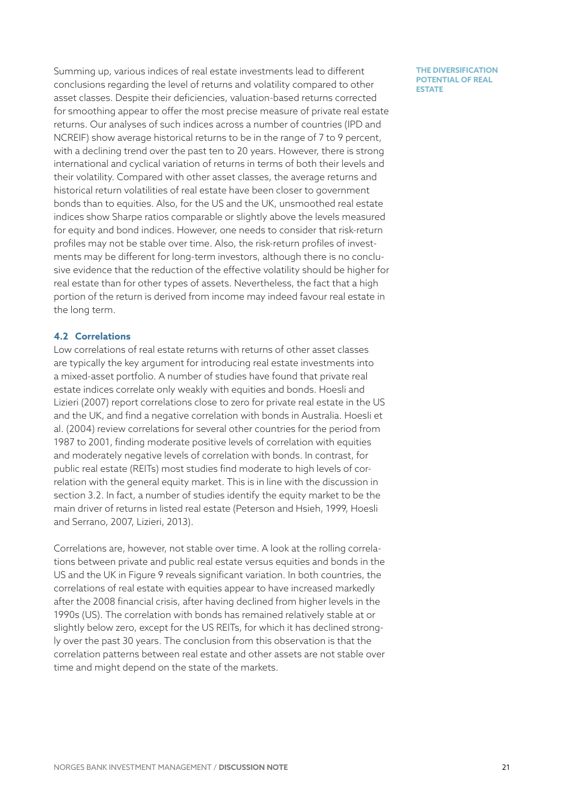Summing up, various indices of real estate investments lead to different conclusions regarding the level of returns and volatility compared to other asset classes. Despite their deficiencies, valuation-based returns corrected for smoothing appear to offer the most precise measure of private real estate returns. Our analyses of such indices across a number of countries (IPD and NCREIF) show average historical returns to be in the range of 7 to 9 percent, with a declining trend over the past ten to 20 years. However, there is strong international and cyclical variation of returns in terms of both their levels and their volatility. Compared with other asset classes, the average returns and historical return volatilities of real estate have been closer to government bonds than to equities. Also, for the US and the UK, unsmoothed real estate indices show Sharpe ratios comparable or slightly above the levels measured for equity and bond indices. However, one needs to consider that risk-return profiles may not be stable over time. Also, the risk-return profiles of investments may be different for long-term investors, although there is no conclusive evidence that the reduction of the effective volatility should be higher for real estate than for other types of assets. Nevertheless, the fact that a high portion of the return is derived from income may indeed favour real estate in the long term.

# **4.2 Correlations**

Low correlations of real estate returns with returns of other asset classes are typically the key argument for introducing real estate investments into a mixed-asset portfolio. A number of studies have found that private real estate indices correlate only weakly with equities and bonds. Hoesli and Lizieri (2007) report correlations close to zero for private real estate in the US and the UK, and find a negative correlation with bonds in Australia. Hoesli et al. (2004) review correlations for several other countries for the period from 1987 to 2001, finding moderate positive levels of correlation with equities and moderately negative levels of correlation with bonds. In contrast, for public real estate (REITs) most studies find moderate to high levels of correlation with the general equity market. This is in line with the discussion in section [3.2.](#page-11-0) In fact, a number of studies identify the equity market to be the main driver of returns in listed real estate (Peterson and Hsieh, 1999, Hoesli and Serrano, 2007, Lizieri, 2013).

Correlations are, however, not stable over time. A look at the rolling correlations between private and public real estate versus equities and bonds in the US and the UK in [Figure 9](#page-21-0) reveals significant variation. In both countries, the correlations of real estate with equities appear to have increased markedly after the 2008 financial crisis, after having declined from higher levels in the 1990s (US). The correlation with bonds has remained relatively stable at or slightly below zero, except for the US REITs, for which it has declined strongly over the past 30 years. The conclusion from this observation is that the correlation patterns between real estate and other assets are not stable over time and might depend on the state of the markets.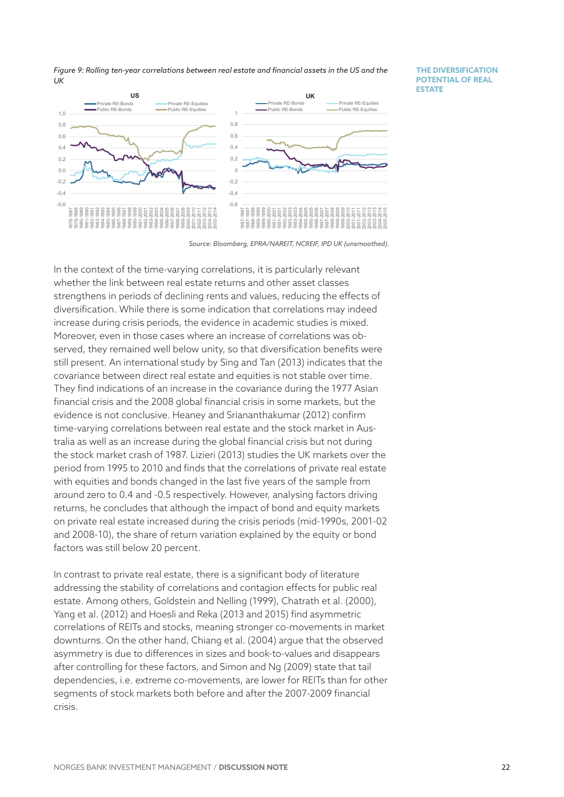<span id="page-21-0"></span>*Figure 9: Rolling ten-year correlations between real estate and financial assets in the US and the UK*

**THE DIVERSIFICATION POTENTIAL OF REAL ESTATE** 



*Source: Bloomberg, EPRA/NAREIT, NCREIF, IPD UK (unsmoothed).*

In the context of the time-varying correlations, it is particularly relevant whether the link between real estate returns and other asset classes strengthens in periods of declining rents and values, reducing the effects of diversification. While there is some indication that correlations may indeed increase during crisis periods, the evidence in academic studies is mixed. Moreover, even in those cases where an increase of correlations was observed, they remained well below unity, so that diversification benefits were still present. An international study by Sing and Tan (2013) indicates that the covariance between direct real estate and equities is not stable over time. They find indications of an increase in the covariance during the 1977 Asian financial crisis and the 2008 global financial crisis in some markets, but the evidence is not conclusive. Heaney and Sriananthakumar (2012) confirm time-varying correlations between real estate and the stock market in Australia as well as an increase during the global financial crisis but not during the stock market crash of 1987. Lizieri (2013) studies the UK markets over the period from 1995 to 2010 and finds that the correlations of private real estate with equities and bonds changed in the last five years of the sample from around zero to 0.4 and -0.5 respectively. However, analysing factors driving returns, he concludes that although the impact of bond and equity markets on private real estate increased during the crisis periods (mid-1990s, 2001-02 and 2008-10), the share of return variation explained by the equity or bond factors was still below 20 percent.

In contrast to private real estate, there is a significant body of literature addressing the stability of correlations and contagion effects for public real estate. Among others, Goldstein and Nelling (1999), Chatrath et al. (2000), Yang et al. (2012) and Hoesli and Reka (2013 and 2015) find asymmetric correlations of REITs and stocks, meaning stronger co-movements in market downturns. On the other hand, Chiang et al. (2004) argue that the observed asymmetry is due to differences in sizes and book-to-values and disappears after controlling for these factors, and Simon and Ng (2009) state that tail dependencies, i.e. extreme co-movements, are lower for REITs than for other segments of stock markets both before and after the 2007-2009 financial crisis.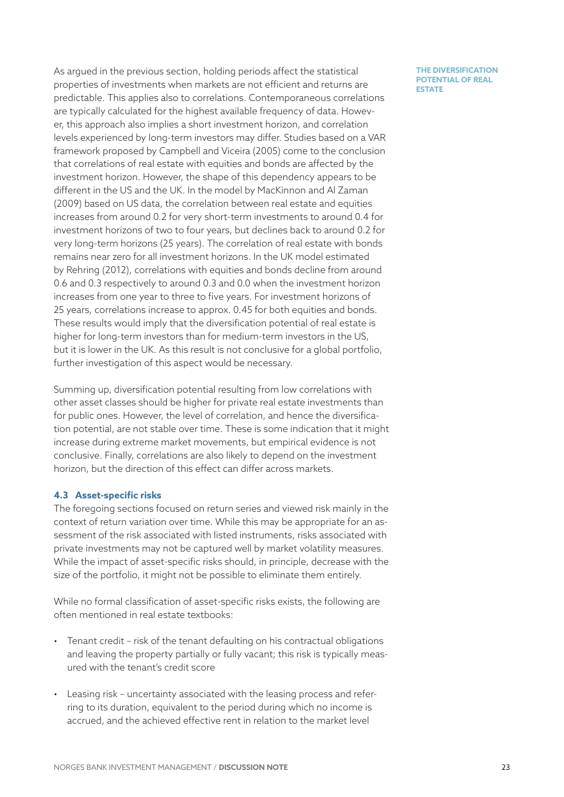As argued in the previous section, holding periods affect the statistical properties of investments when markets are not efficient and returns are predictable. This applies also to correlations. Contemporaneous correlations are typically calculated for the highest available frequency of data. However, this approach also implies a short investment horizon, and correlation levels experienced by long-term investors may differ. Studies based on a VAR framework proposed by Campbell and Viceira (2005) come to the conclusion that correlations of real estate with equities and bonds are affected by the investment horizon. However, the shape of this dependency appears to be different in the US and the UK. In the model by MacKinnon and Al Zaman (2009) based on US data, the correlation between real estate and equities increases from around 0.2 for very short-term investments to around 0.4 for investment horizons of two to four years, but declines back to around 0.2 for very long-term horizons (25 years). The correlation of real estate with bonds remains near zero for all investment horizons. In the UK model estimated by Rehring (2012), correlations with equities and bonds decline from around 0.6 and 0.3 respectively to around 0.3 and 0.0 when the investment horizon increases from one year to three to five years. For investment horizons of 25 years, correlations increase to approx. 0.45 for both equities and bonds. These results would imply that the diversification potential of real estate is higher for long-term investors than for medium-term investors in the US, but it is lower in the UK. As this result is not conclusive for a global portfolio, further investigation of this aspect would be necessary.

Summing up, diversification potential resulting from low correlations with other asset classes should be higher for private real estate investments than for public ones. However, the level of correlation, and hence the diversification potential, are not stable over time. These is some indication that it might increase during extreme market movements, but empirical evidence is not conclusive. Finally, correlations are also likely to depend on the investment horizon, but the direction of this effect can differ across markets.

# <span id="page-22-0"></span>**4.3 Asset-specific risks**

The foregoing sections focused on return series and viewed risk mainly in the context of return variation over time. While this may be appropriate for an assessment of the risk associated with listed instruments, risks associated with private investments may not be captured well by market volatility measures. While the impact of asset-specific risks should, in principle, decrease with the size of the portfolio, it might not be possible to eliminate them entirely.

While no formal classification of asset-specific risks exists, the following are often mentioned in real estate textbooks:

- Tenant credit risk of the tenant defaulting on his contractual obligations and leaving the property partially or fully vacant; this risk is typically measured with the tenant's credit score
- Leasing risk uncertainty associated with the leasing process and referring to its duration, equivalent to the period during which no income is accrued, and the achieved effective rent in relation to the market level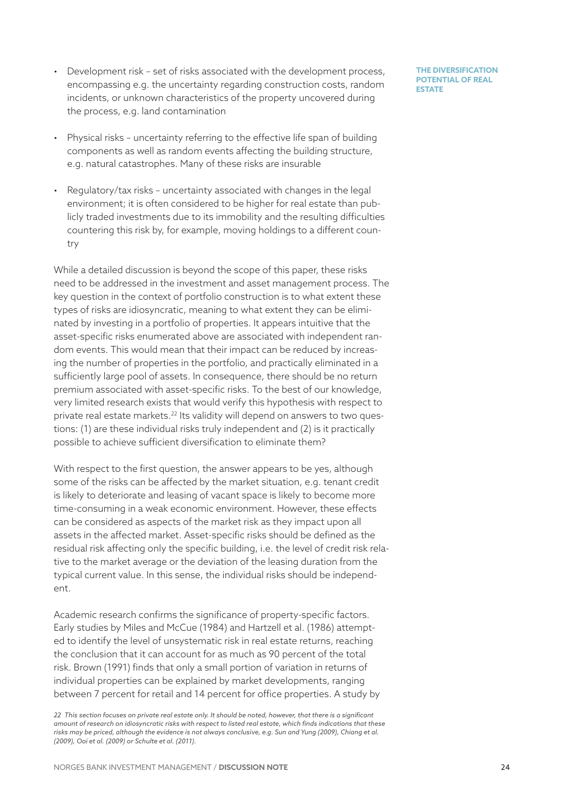- Development risk set of risks associated with the development process, encompassing e.g. the uncertainty regarding construction costs, random incidents, or unknown characteristics of the property uncovered during the process, e.g. land contamination
- Physical risks uncertainty referring to the effective life span of building components as well as random events affecting the building structure, e.g. natural catastrophes. Many of these risks are insurable
- Regulatory/tax risks uncertainty associated with changes in the legal environment; it is often considered to be higher for real estate than publicly traded investments due to its immobility and the resulting difficulties countering this risk by, for example, moving holdings to a different country

While a detailed discussion is beyond the scope of this paper, these risks need to be addressed in the investment and asset management process. The key question in the context of portfolio construction is to what extent these types of risks are idiosyncratic, meaning to what extent they can be eliminated by investing in a portfolio of properties. It appears intuitive that the asset-specific risks enumerated above are associated with independent random events. This would mean that their impact can be reduced by increasing the number of properties in the portfolio, and practically eliminated in a sufficiently large pool of assets. In consequence, there should be no return premium associated with asset-specific risks. To the best of our knowledge, very limited research exists that would verify this hypothesis with respect to private real estate markets.<sup>22</sup> Its validity will depend on answers to two questions: (1) are these individual risks truly independent and (2) is it practically possible to achieve sufficient diversification to eliminate them?

With respect to the first question, the answer appears to be yes, although some of the risks can be affected by the market situation, e.g. tenant credit is likely to deteriorate and leasing of vacant space is likely to become more time-consuming in a weak economic environment. However, these effects can be considered as aspects of the market risk as they impact upon all assets in the affected market. Asset-specific risks should be defined as the residual risk affecting only the specific building, i.e. the level of credit risk relative to the market average or the deviation of the leasing duration from the typical current value. In this sense, the individual risks should be independent.

Academic research confirms the significance of property-specific factors. Early studies by Miles and McCue (1984) and Hartzell et al. (1986) attempted to identify the level of unsystematic risk in real estate returns, reaching the conclusion that it can account for as much as 90 percent of the total risk. Brown (1991) finds that only a small portion of variation in returns of individual properties can be explained by market developments, ranging between 7 percent for retail and 14 percent for office properties. A study by

*<sup>22</sup> This section focuses on private real estate only. It should be noted, however, that there is a significant amount of research on idiosyncratic risks with respect to listed real estate, which finds indications that these risks may be priced, although the evidence is not always conclusive, e.g. Sun and Yung (2009), Chiang et al. (2009), Ooi et al. (2009) or Schulte et al. (2011).*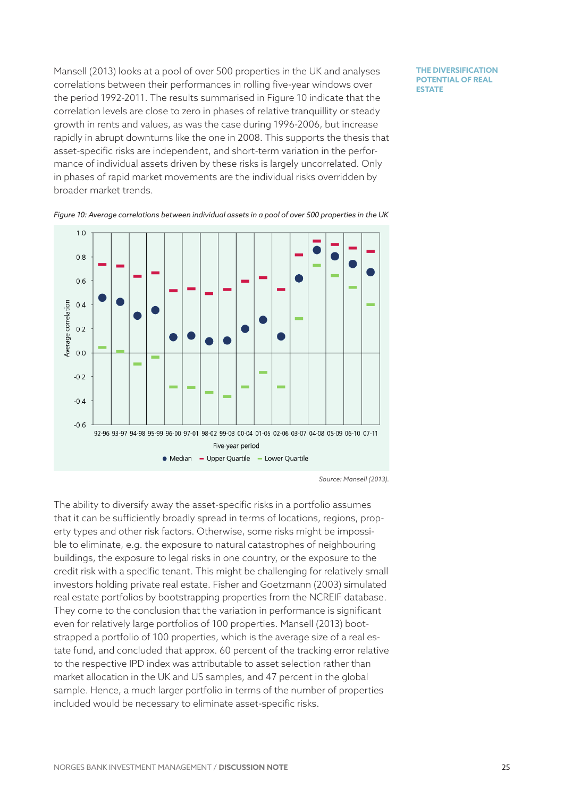Mansell (2013) looks at a pool of over 500 properties in the UK and analyses correlations between their performances in rolling five-year windows over the period 1992-2011. The results summarised in [Figure](#page-24-0) 10 indicate that the correlation levels are close to zero in phases of relative tranquillity or steady growth in rents and values, as was the case during 1996-2006, but increase rapidly in abrupt downturns like the one in 2008. This supports the thesis that asset-specific risks are independent, and short-term variation in the performance of individual assets driven by these risks is largely uncorrelated. Only in phases of rapid market movements are the individual risks overridden by broader market trends.

**THE DIVERSIFICATION POTENTIAL OF REAL ESTATE** 



<span id="page-24-0"></span>*Figure 10: Average correlations between individual assets in a pool of over 500 properties in the UK*

*Source: Mansell (2013).*

The ability to diversify away the asset-specific risks in a portfolio assumes that it can be sufficiently broadly spread in terms of locations, regions, property types and other risk factors. Otherwise, some risks might be impossible to eliminate, e.g. the exposure to natural catastrophes of neighbouring buildings, the exposure to legal risks in one country, or the exposure to the credit risk with a specific tenant. This might be challenging for relatively small investors holding private real estate. Fisher and Goetzmann (2003) simulated real estate portfolios by bootstrapping properties from the NCREIF database. They come to the conclusion that the variation in performance is significant even for relatively large portfolios of 100 properties. Mansell (2013) bootstrapped a portfolio of 100 properties, which is the average size of a real estate fund, and concluded that approx. 60 percent of the tracking error relative to the respective IPD index was attributable to asset selection rather than market allocation in the UK and US samples, and 47 percent in the global sample. Hence, a much larger portfolio in terms of the number of properties included would be necessary to eliminate asset-specific risks.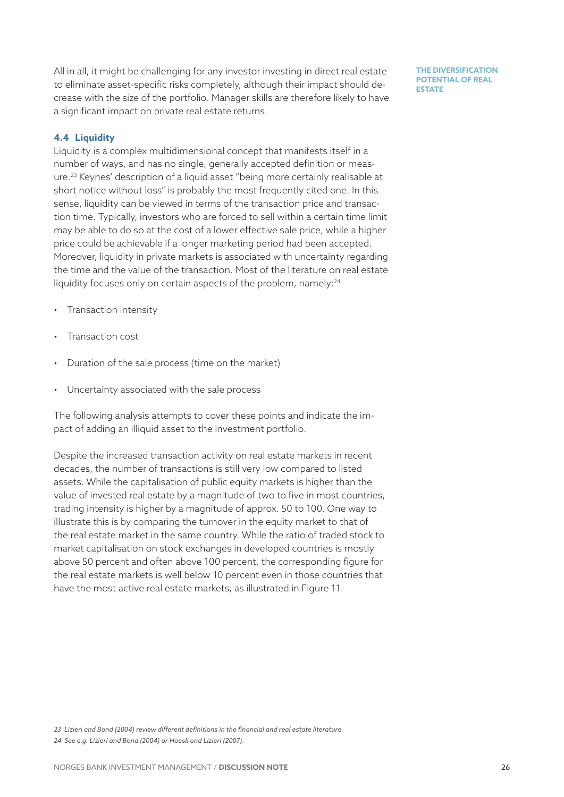All in all, it might be challenging for any investor investing in direct real estate to eliminate asset-specific risks completely, although their impact should decrease with the size of the portfolio. Manager skills are therefore likely to have a significant impact on private real estate returns.

**THE DIVERSIFICATION POTENTIAL OF REAL ESTATE** 

# **4.4 Liquidity**

Liquidity is a complex multidimensional concept that manifests itself in a number of ways, and has no single, generally accepted definition or measure.<sup>23</sup> Keynes' description of a liquid asset "being more certainly realisable at short notice without loss" is probably the most frequently cited one. In this sense, liquidity can be viewed in terms of the transaction price and transaction time. Typically, investors who are forced to sell within a certain time limit may be able to do so at the cost of a lower effective sale price, while a higher price could be achievable if a longer marketing period had been accepted. Moreover, liquidity in private markets is associated with uncertainty regarding the time and the value of the transaction. Most of the literature on real estate liquidity focuses only on certain aspects of the problem, namely:<sup>24</sup>

- Transaction intensity
- Transaction cost
- Duration of the sale process (time on the market)
- Uncertainty associated with the sale process

The following analysis attempts to cover these points and indicate the impact of adding an illiquid asset to the investment portfolio.

Despite the increased transaction activity on real estate markets in recent decades, the number of transactions is still very low compared to listed assets. While the capitalisation of public equity markets is higher than the value of invested real estate by a magnitude of two to five in most countries, trading intensity is higher by a magnitude of approx. 50 to 100. One way to illustrate this is by comparing the turnover in the equity market to that of the real estate market in the same country. While the ratio of traded stock to market capitalisation on stock exchanges in developed countries is mostly above 50 percent and often above 100 percent, the corresponding figure for the real estate markets is well below 10 percent even in those countries that have the most active real estate markets, as illustrated in [Figure 1](#page-26-0)1.

*23 Lizieri and Bond (2004) review different definitions in the financial and real estate literature. 24 See e.g. Lizieri and Bond (2004) or Hoesli and Lizieri (2007).*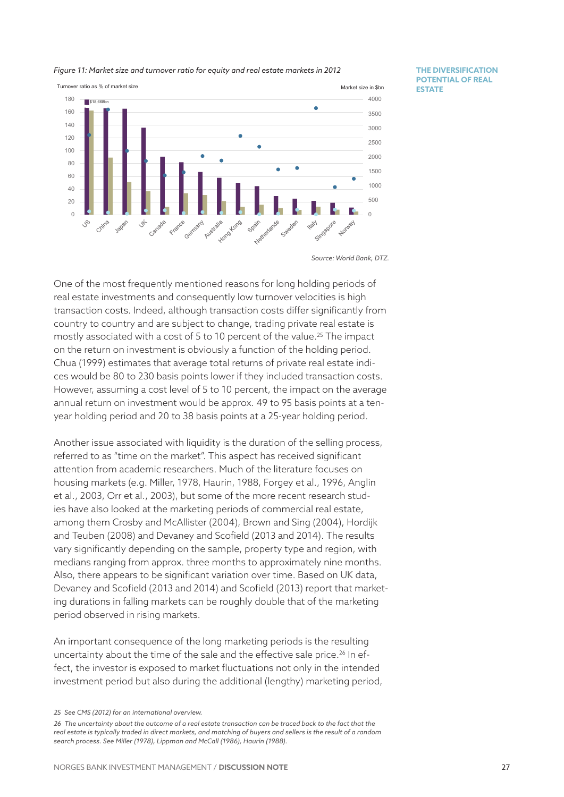<span id="page-26-0"></span>



**THE DIVERSIFICATION POTENTIAL OF REAL ESTATE** 

One of the most frequently mentioned reasons for long holding periods of real estate investments and consequently low turnover velocities is high transaction costs. Indeed, although transaction costs differ significantly from country to country and are subject to change, trading private real estate is mostly associated with a cost of 5 to 10 percent of the value.<sup>25</sup> The impact on the return on investment is obviously a function of the holding period. Chua (1999) estimates that average total returns of private real estate indices would be 80 to 230 basis points lower if they included transaction costs. However, assuming a cost level of 5 to 10 percent, the impact on the average annual return on investment would be approx. 49 to 95 basis points at a tenyear holding period and 20 to 38 basis points at a 25-year holding period.

Another issue associated with liquidity is the duration of the selling process, referred to as "time on the market". This aspect has received significant attention from academic researchers. Much of the literature focuses on housing markets (e.g. Miller, 1978, Haurin, 1988, Forgey et al., 1996, Anglin et al., 2003, Orr et al., 2003), but some of the more recent research studies have also looked at the marketing periods of commercial real estate, among them Crosby and McAllister (2004), Brown and Sing (2004), Hordijk and Teuben (2008) and Devaney and Scofield (2013 and 2014). The results vary significantly depending on the sample, property type and region, with medians ranging from approx. three months to approximately nine months. Also, there appears to be significant variation over time. Based on UK data, Devaney and Scofield (2013 and 2014) and Scofield (2013) report that marketing durations in falling markets can be roughly double that of the marketing period observed in rising markets.

An important consequence of the long marketing periods is the resulting uncertainty about the time of the sale and the effective sale price.<sup>26</sup> In effect, the investor is exposed to market fluctuations not only in the intended investment period but also during the additional (lengthy) marketing period,

*Source: World Bank, DTZ.*

*<sup>25</sup> See CMS (2012) for an international overview.*

*<sup>26</sup> The uncertainty about the outcome of a real estate transaction can be traced back to the fact that the real estate is typically traded in direct markets, and matching of buyers and sellers is the result of a random search process. See Miller (1978), Lippman and McCall (1986), Haurin (1988).*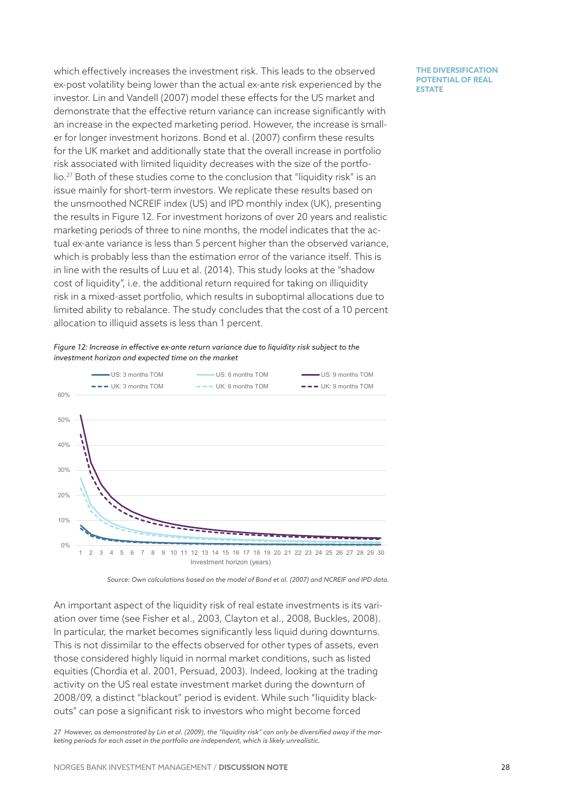which effectively increases the investment risk. This leads to the observed ex-post volatility being lower than the actual ex-ante risk experienced by the investor. Lin and Vandell (2007) model these effects for the US market and demonstrate that the effective return variance can increase significantly with an increase in the expected marketing period. However, the increase is smaller for longer investment horizons. Bond et al. (2007) confirm these results for the UK market and additionally state that the overall increase in portfolio risk associated with limited liquidity decreases with the size of the portfolio.27 Both of these studies come to the conclusion that "liquidity risk" is an issue mainly for short-term investors. We replicate these results based on the unsmoothed NCREIF index (US) and IPD monthly index (UK), presenting the results in [Figure](#page-27-0) 12. For investment horizons of over 20 years and realistic marketing periods of three to nine months, the model indicates that the actual ex-ante variance is less than 5 percent higher than the observed variance, which is probably less than the estimation error of the variance itself. This is in line with the results of Luu et al. (2014). This study looks at the "shadow cost of liquidity", i.e. the additional return required for taking on illiquidity risk in a mixed-asset portfolio, which results in suboptimal allocations due to limited ability to rebalance. The study concludes that the cost of a 10 percent allocation to illiquid assets is less than 1 percent.

<span id="page-27-0"></span>



*Source: Own calculations based on the model of Bond et al. (2007) and NCREIF and IPD data.*

An important aspect of the liquidity risk of real estate investments is its variation over time (see Fisher et al., 2003, Clayton et al., 2008, Buckles, 2008). In particular, the market becomes significantly less liquid during downturns. This is not dissimilar to the effects observed for other types of assets, even those considered highly liquid in normal market conditions, such as listed equities (Chordia et al. 2001, Persuad, 2003). Indeed, looking at the trading activity on the US real estate investment market during the downturn of 2008/09, a distinct "blackout" period is evident. While such "liquidity blackouts" can pose a significant risk to investors who might become forced

*27 However, as demonstrated by Lin et al. (2009), the "liquidity risk" can only be diversified away if the marketing periods for each asset in the portfolio are independent, which is likely unrealistic.*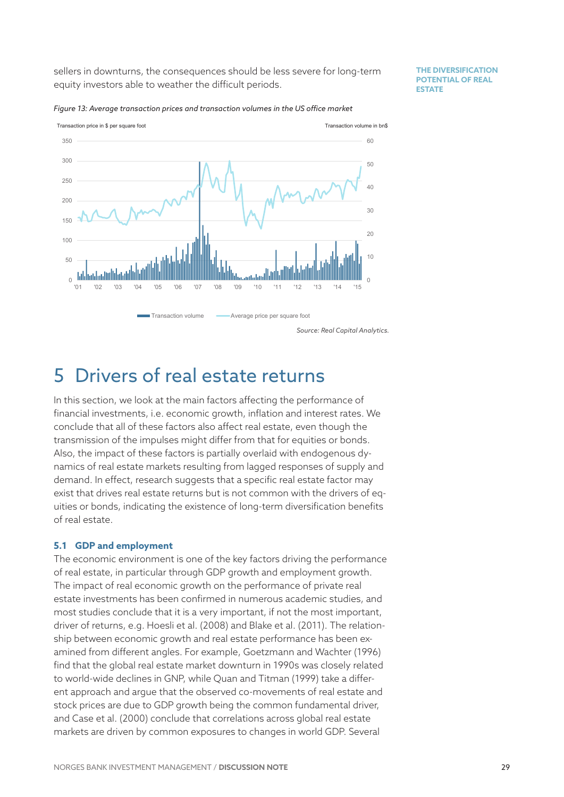sellers in downturns, the consequences should be less severe for long-term equity investors able to weather the difficult periods.

**THE DIVERSIFICATION POTENTIAL OF REAL ESTATE** 



*Figure 13: Average transaction prices and transaction volumes in the US office market*

# 5 Drivers of real estate returns

In this section, we look at the main factors affecting the performance of financial investments, i.e. economic growth, inflation and interest rates. We conclude that all of these factors also affect real estate, even though the transmission of the impulses might differ from that for equities or bonds. Also, the impact of these factors is partially overlaid with endogenous dynamics of real estate markets resulting from lagged responses of supply and demand. In effect, research suggests that a specific real estate factor may exist that drives real estate returns but is not common with the drivers of equities or bonds, indicating the existence of long-term diversification benefits of real estate.

### **5.1 GDP and employment**

The economic environment is one of the key factors driving the performance of real estate, in particular through GDP growth and employment growth. The impact of real economic growth on the performance of private real estate investments has been confirmed in numerous academic studies, and most studies conclude that it is a very important, if not the most important, driver of returns, e.g. Hoesli et al. (2008) and Blake et al. (2011). The relationship between economic growth and real estate performance has been examined from different angles. For example, Goetzmann and Wachter (1996) find that the global real estate market downturn in 1990s was closely related to world-wide declines in GNP, while Quan and Titman (1999) take a different approach and argue that the observed co-movements of real estate and stock prices are due to GDP growth being the common fundamental driver, and Case et al. (2000) conclude that correlations across global real estate markets are driven by common exposures to changes in world GDP. Several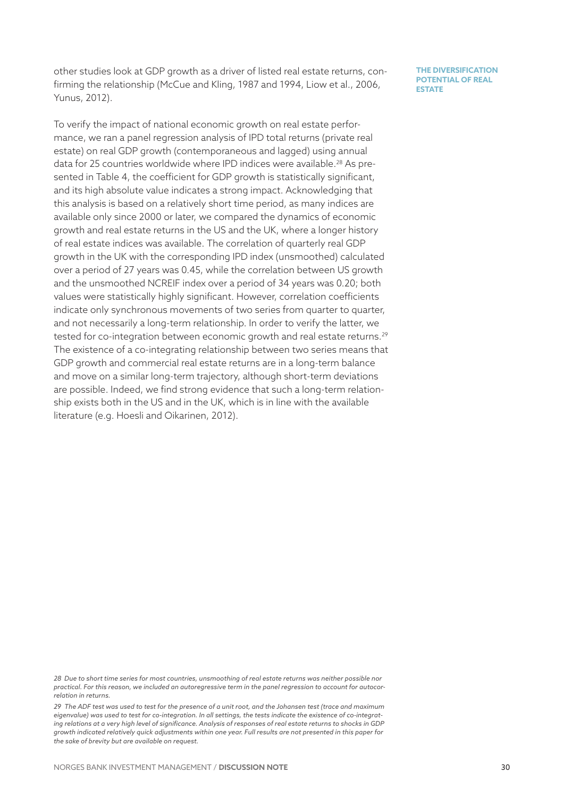other studies look at GDP growth as a driver of listed real estate returns, confirming the relationship (McCue and Kling, 1987 and 1994, Liow et al., 2006, Yunus, 2012).

To verify the impact of national economic growth on real estate performance, we ran a panel regression analysis of IPD total returns (private real estate) on real GDP growth (contemporaneous and lagged) using annual data for 25 countries worldwide where IPD indices were available.<sup>28</sup> As presented in [Table](#page-30-0) 4, the coefficient for GDP growth is statistically significant, and its high absolute value indicates a strong impact. Acknowledging that this analysis is based on a relatively short time period, as many indices are available only since 2000 or later, we compared the dynamics of economic growth and real estate returns in the US and the UK, where a longer history of real estate indices was available. The correlation of quarterly real GDP growth in the UK with the corresponding IPD index (unsmoothed) calculated over a period of 27 years was 0.45, while the correlation between US growth and the unsmoothed NCREIF index over a period of 34 years was 0.20; both values were statistically highly significant. However, correlation coefficients indicate only synchronous movements of two series from quarter to quarter, and not necessarily a long-term relationship. In order to verify the latter, we tested for co-integration between economic growth and real estate returns.<sup>29</sup> The existence of a co-integrating relationship between two series means that GDP growth and commercial real estate returns are in a long-term balance and move on a similar long-term trajectory, although short-term deviations are possible. Indeed, we find strong evidence that such a long-term relationship exists both in the US and in the UK, which is in line with the available literature (e.g. Hoesli and Oikarinen, 2012).

*<sup>28</sup> Due to short time series for most countries, unsmoothing of real estate returns was neither possible nor practical. For this reason, we included an autoregressive term in the panel regression to account for autocorrelation in returns.*

*<sup>29</sup> The ADF test was used to test for the presence of a unit root, and the Johansen test (trace and maximum eigenvalue) was used to test for co-integration. In all settings, the tests indicate the existence of co-integrating relations at a very high level of significance. Analysis of responses of real estate returns to shocks in GDP growth indicated relatively quick adjustments within one year. Full results are not presented in this paper for the sake of brevity but are available on request.*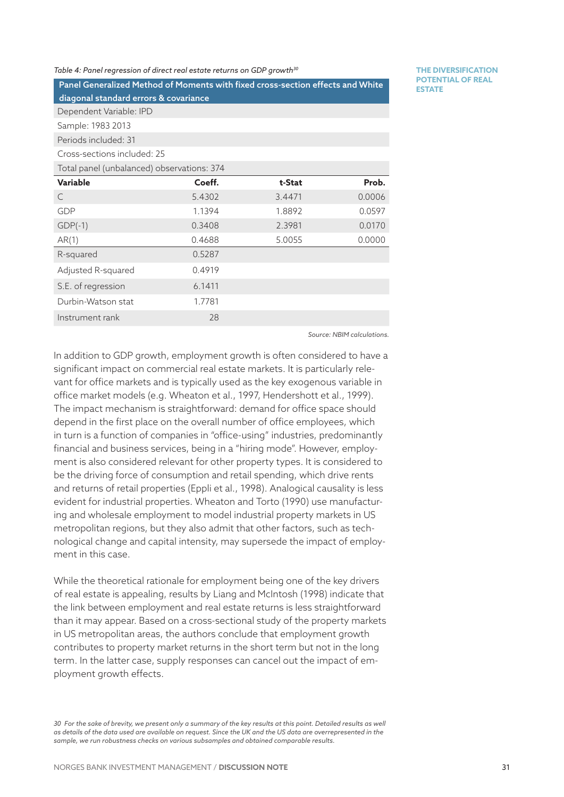#### <span id="page-30-0"></span>*Table 4: Panel regression of direct real estate returns on GDP growth30*

Panel Generalized Method of Moments with fixed cross-section effects and White diagonal standard errors & covariance

**THE DIVERSIFICATION POTENTIAL OF REAL ESTATE** 

Dependent Variable: IPD Sample: 1983 2013

Periods included: 31

Cross-sections included: 25

Total panel (unbalanced) observations: 374

| Variable           | Coeff. | t-Stat | Prob.  |
|--------------------|--------|--------|--------|
| C                  | 5.4302 | 3.4471 | 0.0006 |
| GDP                | 1.1394 | 1.8892 | 0.0597 |
| $GDP(-1)$          | 0.3408 | 2.3981 | 0.0170 |
| AR(1)              | 0.4688 | 5.0055 | 0.0000 |
| R-squared          | 0.5287 |        |        |
| Adjusted R-squared | 0.4919 |        |        |
| S.E. of regression | 6.1411 |        |        |
| Durbin-Watson stat | 1.7781 |        |        |
| Instrument rank    | 28     |        |        |
|                    |        |        |        |

*Source: NBIM calculations.*

In addition to GDP growth, employment growth is often considered to have a significant impact on commercial real estate markets. It is particularly relevant for office markets and is typically used as the key exogenous variable in office market models (e.g. Wheaton et al., 1997, Hendershott et al., 1999). The impact mechanism is straightforward: demand for office space should depend in the first place on the overall number of office employees, which in turn is a function of companies in "office-using" industries, predominantly financial and business services, being in a "hiring mode". However, employment is also considered relevant for other property types. It is considered to be the driving force of consumption and retail spending, which drive rents and returns of retail properties (Eppli et al., 1998). Analogical causality is less evident for industrial properties. Wheaton and Torto (1990) use manufacturing and wholesale employment to model industrial property markets in US metropolitan regions, but they also admit that other factors, such as technological change and capital intensity, may supersede the impact of employment in this case.

While the theoretical rationale for employment being one of the key drivers of real estate is appealing, results by Liang and McIntosh (1998) indicate that the link between employment and real estate returns is less straightforward than it may appear. Based on a cross-sectional study of the property markets in US metropolitan areas, the authors conclude that employment growth contributes to property market returns in the short term but not in the long term. In the latter case, supply responses can cancel out the impact of employment growth effects.

*30 For the sake of brevity, we present only a summary of the key results at this point. Detailed results as well as details of the data used are available on request. Since the UK and the US data are overrepresented in the sample, we run robustness checks on various subsamples and obtained comparable results.*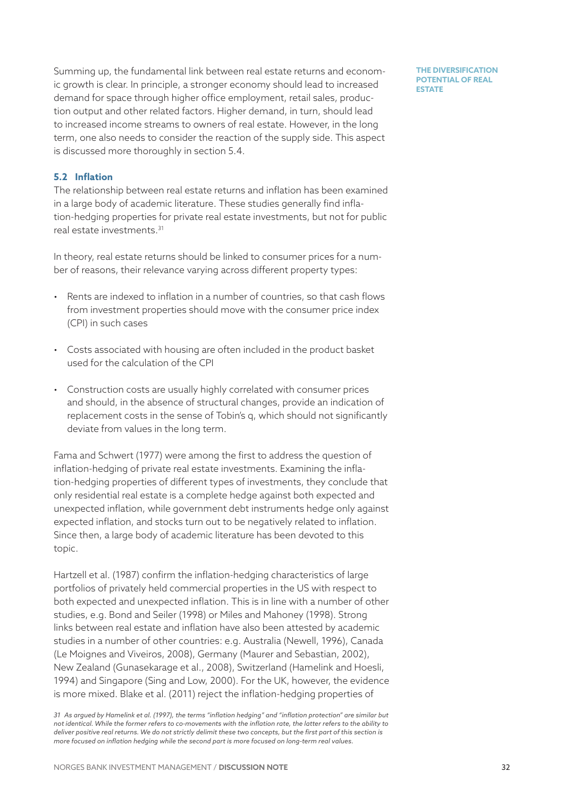Summing up, the fundamental link between real estate returns and economic growth is clear. In principle, a stronger economy should lead to increased demand for space through higher office employment, retail sales, production output and other related factors. Higher demand, in turn, should lead to increased income streams to owners of real estate. However, in the long term, one also needs to consider the reaction of the supply side. This aspect is discussed more thoroughly in section [5.4.](#page-35-0)

**THE DIVERSIFICATION POTENTIAL OF REAL ESTATE** 

# **5.2 Inflation**

The relationship between real estate returns and inflation has been examined in a large body of academic literature. These studies generally find inflation-hedging properties for private real estate investments, but not for public real estate investments.31

In theory, real estate returns should be linked to consumer prices for a number of reasons, their relevance varying across different property types:

- Rents are indexed to inflation in a number of countries, so that cash flows from investment properties should move with the consumer price index (CPI) in such cases
- Costs associated with housing are often included in the product basket used for the calculation of the CPI
- Construction costs are usually highly correlated with consumer prices and should, in the absence of structural changes, provide an indication of replacement costs in the sense of Tobin's q, which should not significantly deviate from values in the long term.

Fama and Schwert (1977) were among the first to address the question of inflation-hedging of private real estate investments. Examining the inflation-hedging properties of different types of investments, they conclude that only residential real estate is a complete hedge against both expected and unexpected inflation, while government debt instruments hedge only against expected inflation, and stocks turn out to be negatively related to inflation. Since then, a large body of academic literature has been devoted to this topic.

Hartzell et al. (1987) confirm the inflation-hedging characteristics of large portfolios of privately held commercial properties in the US with respect to both expected and unexpected inflation. This is in line with a number of other studies, e.g. Bond and Seiler (1998) or Miles and Mahoney (1998). Strong links between real estate and inflation have also been attested by academic studies in a number of other countries: e.g. Australia (Newell, 1996), Canada (Le Moignes and Viveiros, 2008), Germany (Maurer and Sebastian, 2002), New Zealand (Gunasekarage et al., 2008), Switzerland (Hamelink and Hoesli, 1994) and Singapore (Sing and Low, 2000). For the UK, however, the evidence is more mixed. Blake et al. (2011) reject the inflation-hedging properties of

*<sup>31</sup> As argued by Hamelink et al. (1997), the terms "inflation hedging" and "inflation protection" are similar but not identical. While the former refers to co-movements with the inflation rate, the latter refers to the ability to deliver positive real returns. We do not strictly delimit these two concepts, but the first part of this section is more focused on inflation hedging while the second part is more focused on long-term real values.*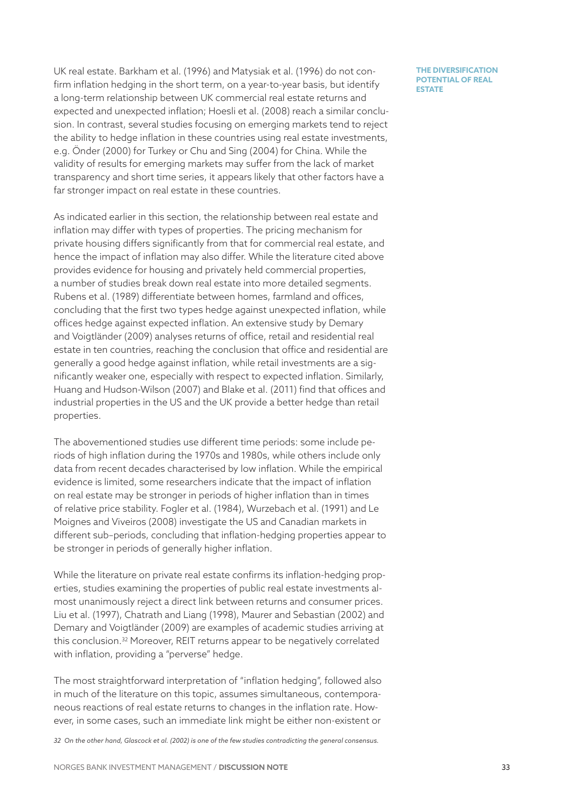UK real estate. Barkham et al. (1996) and Matysiak et al. (1996) do not confirm inflation hedging in the short term, on a year-to-year basis, but identify a long-term relationship between UK commercial real estate returns and expected and unexpected inflation; Hoesli et al. (2008) reach a similar conclusion. In contrast, several studies focusing on emerging markets tend to reject the ability to hedge inflation in these countries using real estate investments, e.g. Önder (2000) for Turkey or Chu and Sing (2004) for China. While the validity of results for emerging markets may suffer from the lack of market transparency and short time series, it appears likely that other factors have a far stronger impact on real estate in these countries.

As indicated earlier in this section, the relationship between real estate and inflation may differ with types of properties. The pricing mechanism for private housing differs significantly from that for commercial real estate, and hence the impact of inflation may also differ. While the literature cited above provides evidence for housing and privately held commercial properties, a number of studies break down real estate into more detailed segments. Rubens et al. (1989) differentiate between homes, farmland and offices, concluding that the first two types hedge against unexpected inflation, while offices hedge against expected inflation. An extensive study by Demary and Voigtländer (2009) analyses returns of office, retail and residential real estate in ten countries, reaching the conclusion that office and residential are generally a good hedge against inflation, while retail investments are a significantly weaker one, especially with respect to expected inflation. Similarly, Huang and Hudson-Wilson (2007) and Blake et al. (2011) find that offices and industrial properties in the US and the UK provide a better hedge than retail properties.

The abovementioned studies use different time periods: some include periods of high inflation during the 1970s and 1980s, while others include only data from recent decades characterised by low inflation. While the empirical evidence is limited, some researchers indicate that the impact of inflation on real estate may be stronger in periods of higher inflation than in times of relative price stability. Fogler et al. (1984), Wurzebach et al. (1991) and Le Moignes and Viveiros (2008) investigate the US and Canadian markets in different sub–periods, concluding that inflation-hedging properties appear to be stronger in periods of generally higher inflation.

While the literature on private real estate confirms its inflation-hedging properties, studies examining the properties of public real estate investments almost unanimously reject a direct link between returns and consumer prices. Liu et al. (1997), Chatrath and Liang (1998), Maurer and Sebastian (2002) and Demary and Voigtländer (2009) are examples of academic studies arriving at this conclusion.32 Moreover, REIT returns appear to be negatively correlated with inflation, providing a "perverse" hedge.

The most straightforward interpretation of "inflation hedging", followed also in much of the literature on this topic, assumes simultaneous, contemporaneous reactions of real estate returns to changes in the inflation rate. However, in some cases, such an immediate link might be either non-existent or

*32 On the other hand, Glascock et al. (2002) is one of the few studies contradicting the general consensus.*

**POTENTIAL OF REAL ESTATE** 

**THE DIVERSIFICATION**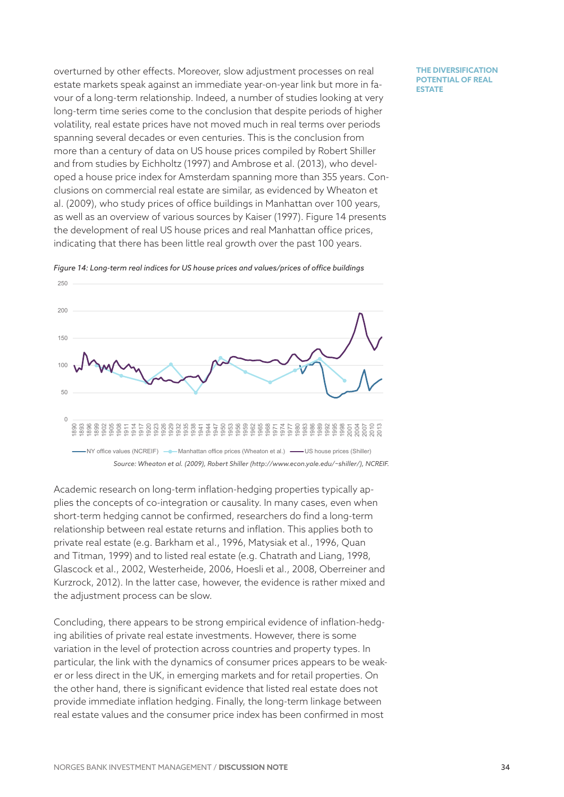overturned by other effects. Moreover, slow adjustment processes on real estate markets speak against an immediate year-on-year link but more in favour of a long-term relationship. Indeed, a number of studies looking at very long-term time series come to the conclusion that despite periods of higher volatility, real estate prices have not moved much in real terms over periods spanning several decades or even centuries. This is the conclusion from more than a century of data on US house prices compiled by Robert Shiller and from studies by Eichholtz (1997) and Ambrose et al. (2013), who developed a house price index for Amsterdam spanning more than 355 years. Conclusions on commercial real estate are similar, as evidenced by Wheaton et al. (2009), who study prices of office buildings in Manhattan over 100 years, as well as an overview of various sources by Kaiser (1997). [Figure](#page-33-0) 14 presents the development of real US house prices and real Manhattan office prices, indicating that there has been little real growth over the past 100 years.



Figure 14: Long-term real indices for US house prices and values/prices of office buildings

<span id="page-33-0"></span>Academic research on long-term inflation-hedging properties typically applies the concepts of co-integration or causality. In many cases, even when short-term hedging cannot be confirmed, researchers do find a long-term relationship between real estate returns and inflation. This applies both to private real estate (e.g. Barkham et al., 1996, Matysiak et al., 1996, Quan and Titman, 1999) and to listed real estate (e.g. Chatrath and Liang, 1998, Glascock et al., 2002, Westerheide, 2006, Hoesli et al., 2008, Oberreiner and Kurzrock, 2012). In the latter case, however, the evidence is rather mixed and the adjustment process can be slow.

Concluding, there appears to be strong empirical evidence of inflation-hedging abilities of private real estate investments. However, there is some variation in the level of protection across countries and property types. In particular, the link with the dynamics of consumer prices appears to be weaker or less direct in the UK, in emerging markets and for retail properties. On the other hand, there is significant evidence that listed real estate does not provide immediate inflation hedging. Finally, the long-term linkage between real estate values and the consumer price index has been confirmed in most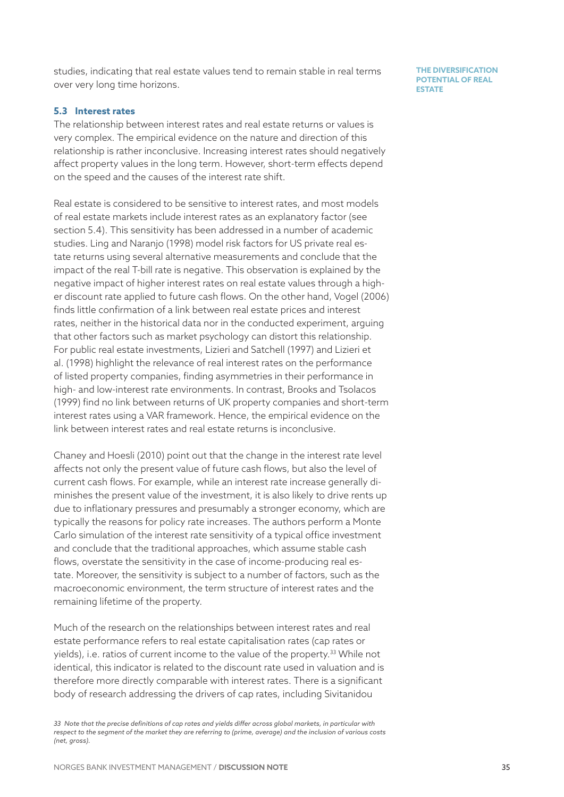studies, indicating that real estate values tend to remain stable in real terms over very long time horizons.

### **5.3 Interest rates**

The relationship between interest rates and real estate returns or values is very complex. The empirical evidence on the nature and direction of this relationship is rather inconclusive. Increasing interest rates should negatively affect property values in the long term. However, short-term effects depend on the speed and the causes of the interest rate shift.

Real estate is considered to be sensitive to interest rates, and most models of real estate markets include interest rates as an explanatory factor (see section [5.4\)](#page-35-0). This sensitivity has been addressed in a number of academic studies. Ling and Naranjo (1998) model risk factors for US private real estate returns using several alternative measurements and conclude that the impact of the real T-bill rate is negative. This observation is explained by the negative impact of higher interest rates on real estate values through a higher discount rate applied to future cash flows. On the other hand, Vogel (2006) finds little confirmation of a link between real estate prices and interest rates, neither in the historical data nor in the conducted experiment, arguing that other factors such as market psychology can distort this relationship. For public real estate investments, Lizieri and Satchell (1997) and Lizieri et al. (1998) highlight the relevance of real interest rates on the performance of listed property companies, finding asymmetries in their performance in high- and low-interest rate environments. In contrast, Brooks and Tsolacos (1999) find no link between returns of UK property companies and short-term interest rates using a VAR framework. Hence, the empirical evidence on the link between interest rates and real estate returns is inconclusive.

Chaney and Hoesli (2010) point out that the change in the interest rate level affects not only the present value of future cash flows, but also the level of current cash flows. For example, while an interest rate increase generally diminishes the present value of the investment, it is also likely to drive rents up due to inflationary pressures and presumably a stronger economy, which are typically the reasons for policy rate increases. The authors perform a Monte Carlo simulation of the interest rate sensitivity of a typical office investment and conclude that the traditional approaches, which assume stable cash flows, overstate the sensitivity in the case of income-producing real estate. Moreover, the sensitivity is subject to a number of factors, such as the macroeconomic environment, the term structure of interest rates and the remaining lifetime of the property.

Much of the research on the relationships between interest rates and real estate performance refers to real estate capitalisation rates (cap rates or yields), i.e. ratios of current income to the value of the property.<sup>33</sup> While not identical, this indicator is related to the discount rate used in valuation and is therefore more directly comparable with interest rates. There is a significant body of research addressing the drivers of cap rates, including Sivitanidou

*33 Note that the precise definitions of cap rates and yields differ across global markets, in particular with respect to the segment of the market they are referring to (prime, average) and the inclusion of various costs (net, gross).*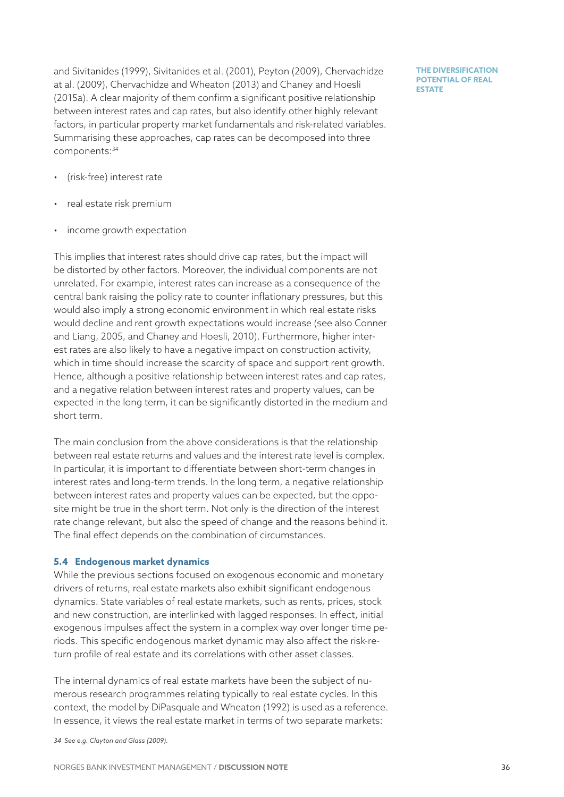and Sivitanides (1999), Sivitanides et al. (2001), Peyton (2009), Chervachidze at al. (2009), Chervachidze and Wheaton (2013) and Chaney and Hoesli (2015a). A clear majority of them confirm a significant positive relationship between interest rates and cap rates, but also identify other highly relevant factors, in particular property market fundamentals and risk-related variables. Summarising these approaches, cap rates can be decomposed into three components: 34

**THE DIVERSIFICATION POTENTIAL OF REAL ESTATE** 

- (risk-free) interest rate
- real estate risk premium
- income growth expectation

This implies that interest rates should drive cap rates, but the impact will be distorted by other factors. Moreover, the individual components are not unrelated. For example, interest rates can increase as a consequence of the central bank raising the policy rate to counter inflationary pressures, but this would also imply a strong economic environment in which real estate risks would decline and rent growth expectations would increase (see also Conner and Liang, 2005, and Chaney and Hoesli, 2010). Furthermore, higher interest rates are also likely to have a negative impact on construction activity, which in time should increase the scarcity of space and support rent growth. Hence, although a positive relationship between interest rates and cap rates, and a negative relation between interest rates and property values, can be expected in the long term, it can be significantly distorted in the medium and short term.

The main conclusion from the above considerations is that the relationship between real estate returns and values and the interest rate level is complex. In particular, it is important to differentiate between short-term changes in interest rates and long-term trends. In the long term, a negative relationship between interest rates and property values can be expected, but the opposite might be true in the short term. Not only is the direction of the interest rate change relevant, but also the speed of change and the reasons behind it. The final effect depends on the combination of circumstances.

#### **5.4 Endogenous market dynamics**

<span id="page-35-0"></span>While the previous sections focused on exogenous economic and monetary drivers of returns, real estate markets also exhibit significant endogenous dynamics. State variables of real estate markets, such as rents, prices, stock and new construction, are interlinked with lagged responses. In effect, initial exogenous impulses affect the system in a complex way over longer time periods. This specific endogenous market dynamic may also affect the risk-return profile of real estate and its correlations with other asset classes.

The internal dynamics of real estate markets have been the subject of numerous research programmes relating typically to real estate cycles. In this context, the model by DiPasquale and Wheaton (1992) is used as a reference. In essence, it views the real estate market in terms of two separate markets:

*34 See e.g. Clayton and Glass (2009).*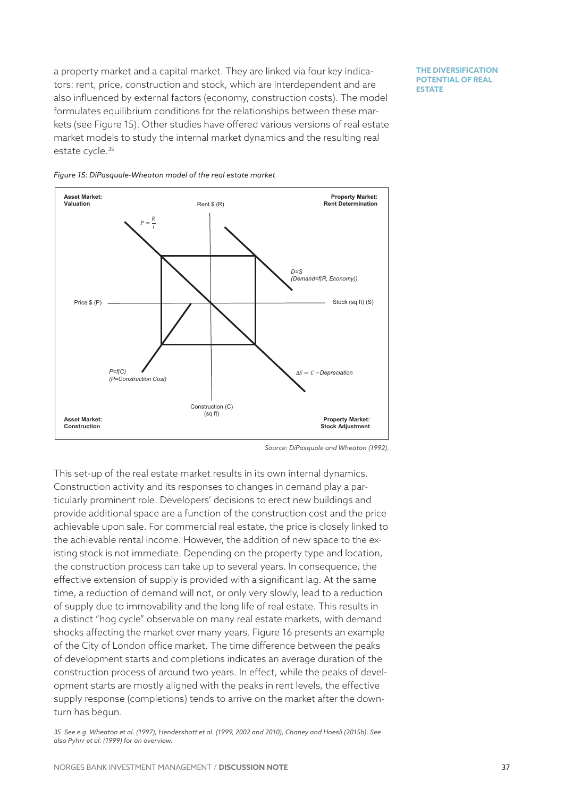a property market and a capital market. They are linked via four key indicators: rent, price, construction and stock, which are interdependent and are also influenced by external factors (economy, construction costs). The model formulates equilibrium conditions for the relationships between these markets (see [Figure 1](#page-36-0)5). Other studies have offered various versions of real estate market models to study the internal market dynamics and the resulting real estate cycle.<sup>35</sup>

**THE DIVERSIFICATION POTENTIAL OF REAL ESTATE** 





<span id="page-36-0"></span>This set-up of the real estate market results in its own internal dynamics. Construction activity and its responses to changes in demand play a particularly prominent role. Developers' decisions to erect new buildings and provide additional space are a function of the construction cost and the price achievable upon sale. For commercial real estate, the price is closely linked to the achievable rental income. However, the addition of new space to the existing stock is not immediate. Depending on the property type and location, the construction process can take up to several years. In consequence, the effective extension of supply is provided with a significant lag. At the same time, a reduction of demand will not, or only very slowly, lead to a reduction of supply due to immovability and the long life of real estate. This results in a distinct "hog cycle" observable on many real estate markets, with demand shocks affecting the market over many years. [Figure 1](#page-37-0)6 presents an example of the City of London office market. The time difference between the peaks of development starts and completions indicates an average duration of the construction process of around two years. In effect, while the peaks of development starts are mostly aligned with the peaks in rent levels, the effective supply response (completions) tends to arrive on the market after the downturn has begun.

*35 See e.g. Wheaton et al. (1997), Hendershott et al. (1999, 2002 and 2010), Chaney and Hoesli (2015b). See also Pyhrr et al. (1999) for an overview.*

*Source: DiPasquale and Wheaton (1992).*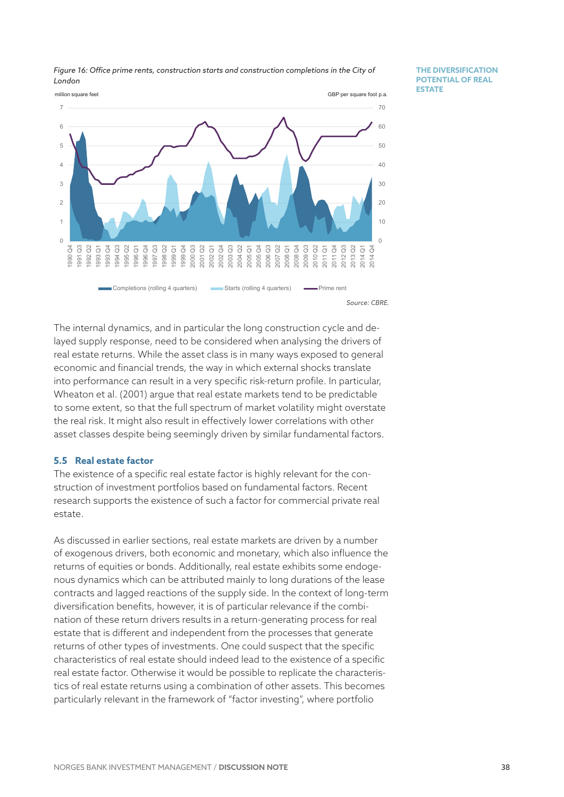

*Figure 16: Office prime rents, construction starts and construction completions in the City of London*

**THE DIVERSIFICATION POTENTIAL OF REAL ESTATE** 

<span id="page-37-0"></span>The internal dynamics, and in particular the long construction cycle and delayed supply response, need to be considered when analysing the drivers of real estate returns. While the asset class is in many ways exposed to general economic and financial trends, the way in which external shocks translate into performance can result in a very specific risk-return profile. In particular, Wheaton et al. (2001) argue that real estate markets tend to be predictable to some extent, so that the full spectrum of market volatility might overstate the real risk. It might also result in effectively lower correlations with other asset classes despite being seemingly driven by similar fundamental factors.

### **5.5 Real estate factor**

The existence of a specific real estate factor is highly relevant for the construction of investment portfolios based on fundamental factors. Recent research supports the existence of such a factor for commercial private real estate.

As discussed in earlier sections, real estate markets are driven by a number of exogenous drivers, both economic and monetary, which also influence the returns of equities or bonds. Additionally, real estate exhibits some endogenous dynamics which can be attributed mainly to long durations of the lease contracts and lagged reactions of the supply side. In the context of long-term diversification benefits, however, it is of particular relevance if the combination of these return drivers results in a return-generating process for real estate that is different and independent from the processes that generate returns of other types of investments. One could suspect that the specific characteristics of real estate should indeed lead to the existence of a specific real estate factor. Otherwise it would be possible to replicate the characteristics of real estate returns using a combination of other assets. This becomes particularly relevant in the framework of "factor investing", where portfolio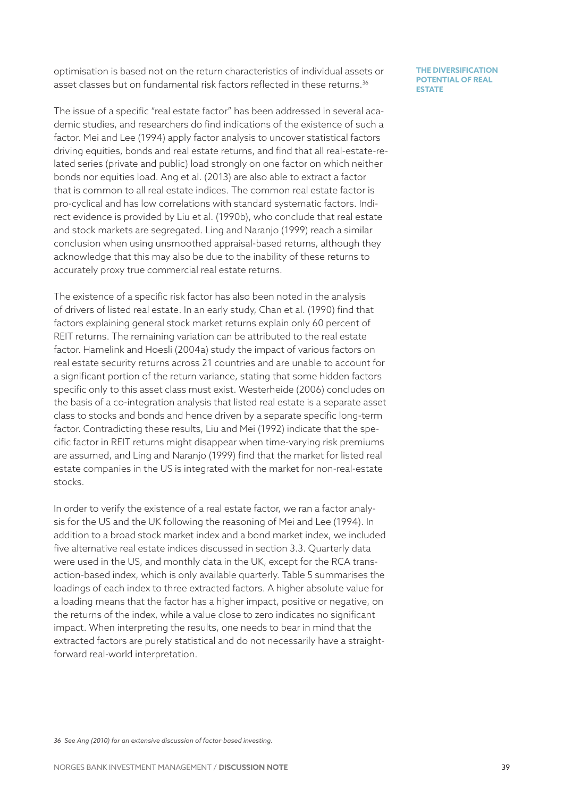optimisation is based not on the return characteristics of individual assets or asset classes but on fundamental risk factors reflected in these returns.<sup>36</sup>

The issue of a specific "real estate factor" has been addressed in several academic studies, and researchers do find indications of the existence of such a factor. Mei and Lee (1994) apply factor analysis to uncover statistical factors driving equities, bonds and real estate returns, and find that all real-estate-related series (private and public) load strongly on one factor on which neither bonds nor equities load. Ang et al. (2013) are also able to extract a factor that is common to all real estate indices. The common real estate factor is pro-cyclical and has low correlations with standard systematic factors. Indirect evidence is provided by Liu et al. (1990b), who conclude that real estate and stock markets are segregated. Ling and Naranjo (1999) reach a similar conclusion when using unsmoothed appraisal-based returns, although they acknowledge that this may also be due to the inability of these returns to accurately proxy true commercial real estate returns.

The existence of a specific risk factor has also been noted in the analysis of drivers of listed real estate. In an early study, Chan et al. (1990) find that factors explaining general stock market returns explain only 60 percent of REIT returns. The remaining variation can be attributed to the real estate factor. Hamelink and Hoesli (2004a) study the impact of various factors on real estate security returns across 21 countries and are unable to account for a significant portion of the return variance, stating that some hidden factors specific only to this asset class must exist. Westerheide (2006) concludes on the basis of a co-integration analysis that listed real estate is a separate asset class to stocks and bonds and hence driven by a separate specific long-term factor. Contradicting these results, Liu and Mei (1992) indicate that the specific factor in REIT returns might disappear when time-varying risk premiums are assumed, and Ling and Naranjo (1999) find that the market for listed real estate companies in the US is integrated with the market for non-real-estate stocks.

In order to verify the existence of a real estate factor, we ran a factor analysis for the US and the UK following the reasoning of Mei and Lee (1994). In addition to a broad stock market index and a bond market index, we included five alternative real estate indices discussed in section [3.3.](#page-12-0) Quarterly data were used in the US, and monthly data in the UK, except for the RCA transaction-based index, which is only available quarterly. [Table 5](#page-39-0) summarises the loadings of each index to three extracted factors. A higher absolute value for a loading means that the factor has a higher impact, positive or negative, on the returns of the index, while a value close to zero indicates no significant impact. When interpreting the results, one needs to bear in mind that the extracted factors are purely statistical and do not necessarily have a straightforward real-world interpretation.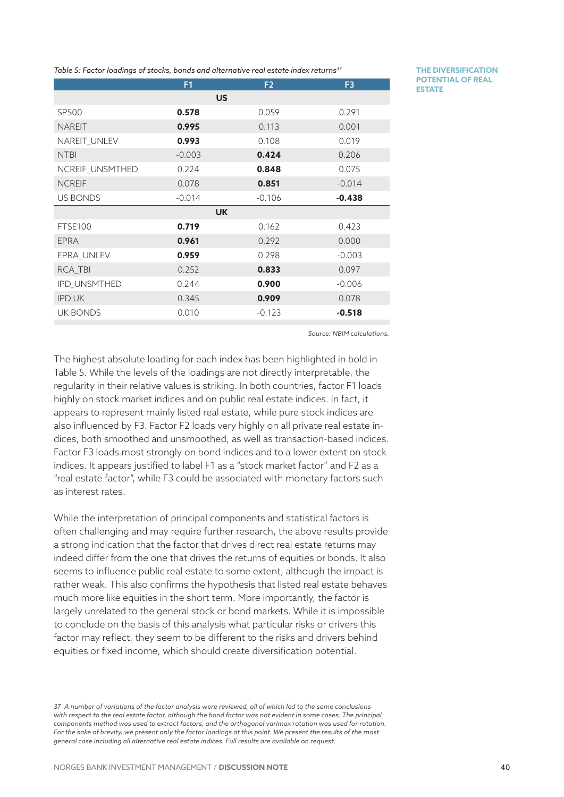<span id="page-39-0"></span>*Table 5: Factor loadings of stocks, bonds and alternative real estate index returns37*

|                     | F1       | F <sub>2</sub> | F <sub>3</sub> |  |  |  |  |
|---------------------|----------|----------------|----------------|--|--|--|--|
| <b>US</b>           |          |                |                |  |  |  |  |
| <b>SP500</b>        | 0.578    | 0.059          | 0.291          |  |  |  |  |
| <b>NAREIT</b>       | 0.995    | 0.113          | 0.001          |  |  |  |  |
| NAREIT_UNLEV        | 0.993    | 0.108          | 0.019          |  |  |  |  |
| <b>NTBI</b>         | $-0.003$ | 0.424          | 0.206          |  |  |  |  |
| NCREIF_UNSMTHED     | 0.224    | 0.848          | 0.075          |  |  |  |  |
| <b>NCREIF</b>       | 0.078    | 0.851          | $-0.014$       |  |  |  |  |
| <b>US BONDS</b>     | $-0.014$ | $-0.106$       | $-0.438$       |  |  |  |  |
|                     |          | <b>UK</b>      |                |  |  |  |  |
| FTSE100             | 0.719    | 0.162          | 0.423          |  |  |  |  |
| <b>EPRA</b>         | 0.961    | 0.292          | 0.000          |  |  |  |  |
| EPRA_UNLEV          | 0.959    | 0.298          | $-0.003$       |  |  |  |  |
| RCA_TBI             | 0.252    | 0.833          | 0.097          |  |  |  |  |
| <b>IPD UNSMTHED</b> | 0.244    | 0.900          | $-0.006$       |  |  |  |  |
| <b>IPD UK</b>       | 0.345    | 0.909          | 0.078          |  |  |  |  |
| <b>UK BONDS</b>     | 0.010    | $-0.123$       | $-0.518$       |  |  |  |  |
|                     |          |                |                |  |  |  |  |

**THE DIVERSIFICATION POTENTIAL OF REAL ESTATE** 

*Source: NBIM calculations.*

The highest absolute loading for each index has been highlighted in bold in [Table 5](#page-39-0). While the levels of the loadings are not directly interpretable, the regularity in their relative values is striking. In both countries, factor F1 loads highly on stock market indices and on public real estate indices. In fact, it appears to represent mainly listed real estate, while pure stock indices are also influenced by F3. Factor F2 loads very highly on all private real estate indices, both smoothed and unsmoothed, as well as transaction-based indices. Factor F3 loads most strongly on bond indices and to a lower extent on stock indices. It appears justified to label F1 as a "stock market factor" and F2 as a "real estate factor", while F3 could be associated with monetary factors such as interest rates.

While the interpretation of principal components and statistical factors is often challenging and may require further research, the above results provide a strong indication that the factor that drives direct real estate returns may indeed differ from the one that drives the returns of equities or bonds. It also seems to influence public real estate to some extent, although the impact is rather weak. This also confirms the hypothesis that listed real estate behaves much more like equities in the short term. More importantly, the factor is largely unrelated to the general stock or bond markets. While it is impossible to conclude on the basis of this analysis what particular risks or drivers this factor may reflect, they seem to be different to the risks and drivers behind equities or fixed income, which should create diversification potential.

*37 A number of variations of the factor analysis were reviewed, all of which led to the same conclusions*  with respect to the real estate factor, although the bond factor was not evident in some cases. The principal *components method was used to extract factors, and the orthogonal varimax rotation was used for rotation.*  For the sake of brevity, we present only the factor loadings at this point. We present the results of the most *general case including all alternative real estate indices. Full results are available on request.*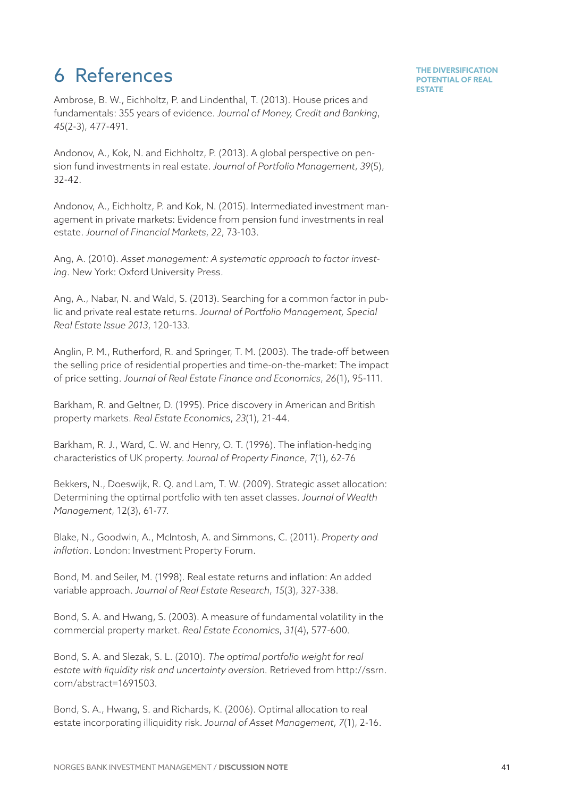# 6 References

Ambrose, B. W., Eichholtz, P. and Lindenthal, T. (2013). House prices and fundamentals: 355 years of evidence. *Journal of Money, Credit and Banking*, *45*(2-3), 477-491.

Andonov, A., Kok, N. and Eichholtz, P. (2013). A global perspective on pension fund investments in real estate. *Journal of Portfolio Management*, *39*(5), 32-42.

Andonov, A., Eichholtz, P. and Kok, N. (2015). Intermediated investment management in private markets: Evidence from pension fund investments in real estate. *Journal of Financial Markets*, *22*, 73-103.

Ang, A. (2010). *Asset management: A systematic approach to factor investing*. New York: Oxford University Press.

Ang, A., Nabar, N. and Wald, S. (2013). Searching for a common factor in public and private real estate returns. *Journal of Portfolio Management, Special Real Estate Issue 2013*, 120-133.

Anglin, P. M., Rutherford, R. and Springer, T. M. (2003). The trade-off between the selling price of residential properties and time-on-the-market: The impact of price setting. *Journal of Real Estate Finance and Economics*, *26*(1), 95-111.

Barkham, R. and Geltner, D. (1995). Price discovery in American and British property markets. *Real Estate Economics*, *23*(1), 21-44.

Barkham, R. J., Ward, C. W. and Henry, O. T. (1996). The inflation-hedging characteristics of UK property. *Journal of Property Finance*, *7*(1), 62-76

Bekkers, N., Doeswijk, R. Q. and Lam, T. W. (2009). Strategic asset allocation: Determining the optimal portfolio with ten asset classes. *Journal of Wealth Management*, 12(3), 61-77.

Blake, N., Goodwin, A., McIntosh, A. and Simmons, C. (2011). *Property and inflation*. London: Investment Property Forum.

Bond, M. and Seiler, M. (1998). Real estate returns and inflation: An added variable approach. *Journal of Real Estate Research*, *15*(3), 327-338.

Bond, S. A. and Hwang, S. (2003). A measure of fundamental volatility in the commercial property market. *Real Estate Economics*, *31*(4), 577-600.

Bond, S. A. and Slezak, S. L. (2010). *The optimal portfolio weight for real estate with liquidity risk and uncertainty aversion.* Retrieved from http://ssrn. com/abstract=1691503.

Bond, S. A., Hwang, S. and Richards, K. (2006). Optimal allocation to real estate incorporating illiquidity risk. *Journal of Asset Management*, *7*(1), 2-16.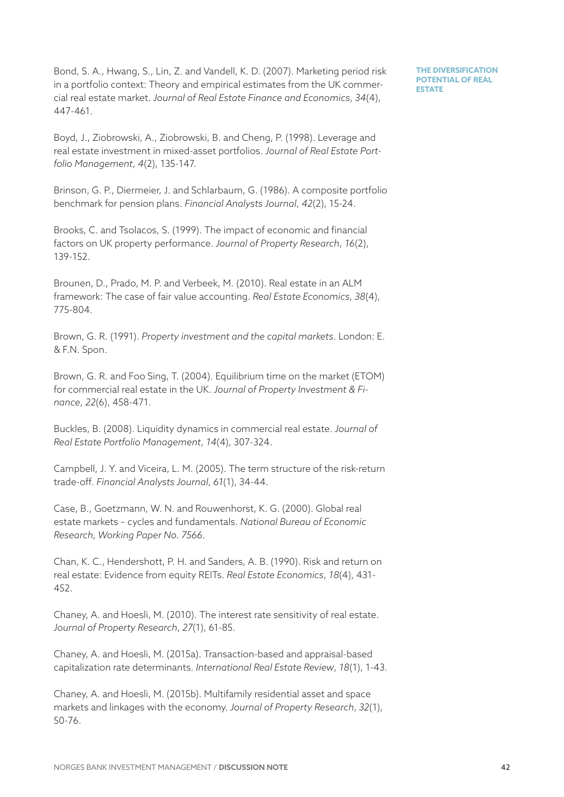Bond, S. A., Hwang, S., Lin, Z. and Vandell, K. D. (2007). Marketing period risk in a portfolio context: Theory and empirical estimates from the UK commercial real estate market. *Journal of Real Estate Finance and Economics*, *34*(4), 447-461.

Boyd, J., Ziobrowski, A., Ziobrowski, B. and Cheng, P. (1998). Leverage and real estate investment in mixed-asset portfolios. *Journal of Real Estate Portfolio Management*, *4*(2), 135-147.

Brinson, G. P., Diermeier, J. and Schlarbaum, G. (1986). A composite portfolio benchmark for pension plans. *Financial Analysts Journal*, *42*(2), 15-24.

Brooks, C. and Tsolacos, S. (1999). The impact of economic and financial factors on UK property performance. *Journal of Property Research*, *16*(2), 139-152.

Brounen, D., Prado, M. P. and Verbeek, M. (2010). Real estate in an ALM framework: The case of fair value accounting. *Real Estate Economics*, *38*(4), 775-804.

Brown, G. R. (1991). *Property investment and the capital markets*. London: E. & F.N. Spon.

Brown, G. R. and Foo Sing, T. (2004). Equilibrium time on the market (ETOM) for commercial real estate in the UK. *Journal of Property Investment & Finance*, *22*(6), 458-471.

Buckles, B. (2008). Liquidity dynamics in commercial real estate. *Journal of Real Estate Portfolio Management*, *14*(4), 307-324.

Campbell, J. Y. and Viceira, L. M. (2005). The term structure of the risk-return trade-off. *Financial Analysts Journal*, *61*(1), 34-44.

Case, B., Goetzmann, W. N. and Rouwenhorst, K. G. (2000). Global real estate markets – cycles and fundamentals. *National Bureau of Economic Research, Working Paper No. 7566*.

Chan, K. C., Hendershott, P. H. and Sanders, A. B. (1990). Risk and return on real estate: Evidence from equity REITs. *Real Estate Economics*, *18*(4), 431-452.

Chaney, A. and Hoesli, M. (2010). The interest rate sensitivity of real estate. *Journal of Property Research*, *27*(1), 61-85.

Chaney, A. and Hoesli, M. (2015a). Transaction-based and appraisal-based capitalization rate determinants. *International Real Estate Review*, *18*(1), 1-43.

Chaney, A. and Hoesli, M. (2015b). Multifamily residential asset and space markets and linkages with the economy. *Journal of Property Research*, *32*(1), 50-76.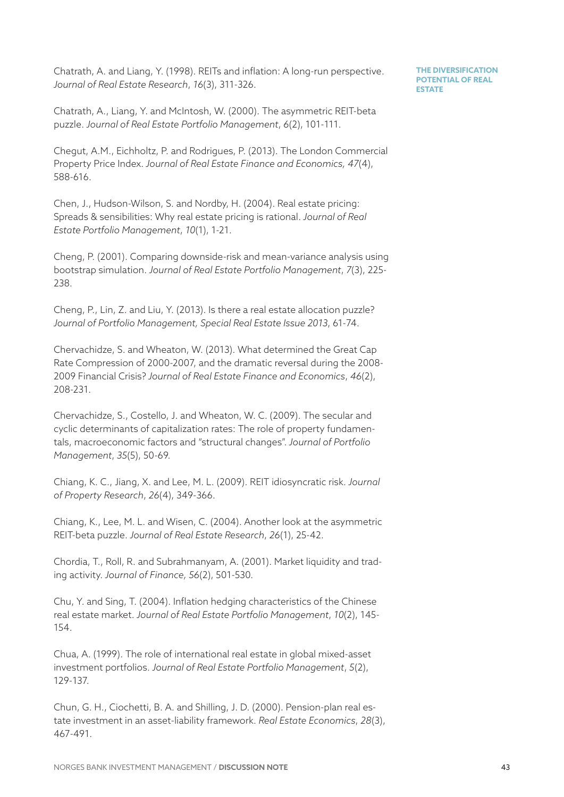Chatrath, A. and Liang, Y. (1998). REITs and inflation: A long-run perspective. *Journal of Real Estate Research*, *16*(3), 311-326.

Chatrath, A., Liang, Y. and McIntosh, W. (2000). The asymmetric REIT-beta puzzle. *Journal of Real Estate Portfolio Management*, *6*(2), 101-111.

Chegut, A.M., Eichholtz, P. and Rodrigues, P. (2013). The London Commercial Property Price Index. *Journal of Real Estate Finance and Economics, 47*(4), 588-616.

Chen, J., Hudson-Wilson, S. and Nordby, H. (2004). Real estate pricing: Spreads & sensibilities: Why real estate pricing is rational. *Journal of Real Estate Portfolio Management*, *10*(1), 1-21.

Cheng, P. (2001). Comparing downside-risk and mean-variance analysis using bootstrap simulation. *Journal of Real Estate Portfolio Management*, *7*(3), 225-238.

Cheng, P., Lin, Z. and Liu, Y. (2013). Is there a real estate allocation puzzle? *Journal of Portfolio Management, Special Real Estate Issue 2013*, 61-74.

Chervachidze, S. and Wheaton, W. (2013). What determined the Great Cap Rate Compression of 2000-2007, and the dramatic reversal during the 2008-2009 Financial Crisis? *Journal of Real Estate Finance and Economics*, *46*(2), 208-231.

Chervachidze, S., Costello, J. and Wheaton, W. C. (2009). The secular and cyclic determinants of capitalization rates: The role of property fundamentals, macroeconomic factors and "structural changes". *Journal of Portfolio Management*, *35*(5), 50-69.

Chiang, K. C., Jiang, X. and Lee, M. L. (2009). REIT idiosyncratic risk. *Journal of Property Research*, *26*(4), 349-366.

Chiang, K., Lee, M. L. and Wisen, C. (2004). Another look at the asymmetric REIT-beta puzzle. *Journal of Real Estate Research*, *26*(1), 25-42.

Chordia, T., Roll, R. and Subrahmanyam, A. (2001). Market liquidity and trading activity. *Journal of Finance, 56*(2), 501-530.

Chu, Y. and Sing, T. (2004). Inflation hedging characteristics of the Chinese real estate market. *Journal of Real Estate Portfolio Management*, *10*(2), 145-154.

Chua, A. (1999). The role of international real estate in global mixed-asset investment portfolios. *Journal of Real Estate Portfolio Management*, *5*(2), 129-137.

Chun, G. H., Ciochetti, B. A. and Shilling, J. D. (2000). Pension-plan real estate investment in an asset-liability framework. *Real Estate Economics*, *28*(3), 467-491.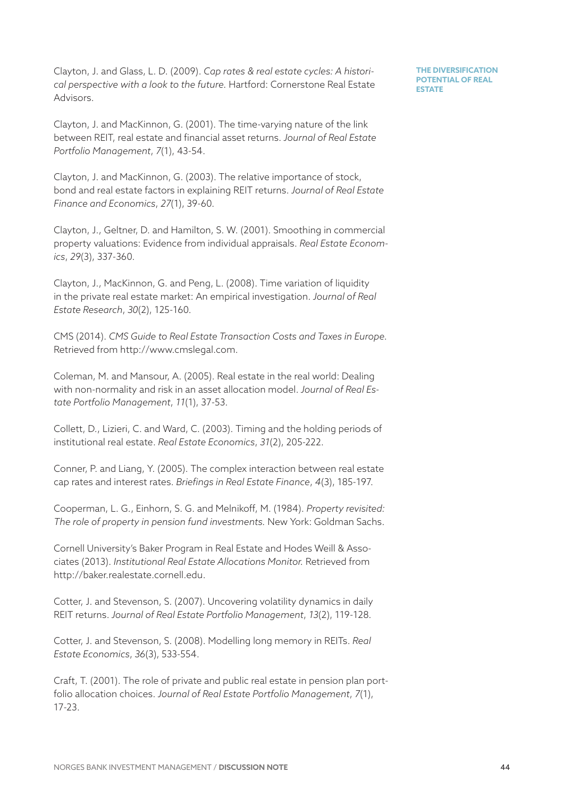Clayton, J. and Glass, L. D. (2009). *Cap rates & real estate cycles: A historical perspective with a look to the future.* Hartford: Cornerstone Real Estate Advisors.

**THE DIVERSIFICATION POTENTIAL OF REAL ESTATE** 

Clayton, J. and MacKinnon, G. (2001). The time-varying nature of the link between REIT, real estate and financial asset returns. *Journal of Real Estate Portfolio Management*, *7*(1), 43-54.

Clayton, J. and MacKinnon, G. (2003). The relative importance of stock, bond and real estate factors in explaining REIT returns. *Journal of Real Estate Finance and Economics*, *27*(1), 39-60.

Clayton, J., Geltner, D. and Hamilton, S. W. (2001). Smoothing in commercial property valuations: Evidence from individual appraisals. *Real Estate Economics*, *29*(3), 337-360.

Clayton, J., MacKinnon, G. and Peng, L. (2008). Time variation of liquidity in the private real estate market: An empirical investigation. *Journal of Real Estate Research*, *30*(2), 125-160.

CMS (2014). *CMS Guide to Real Estate Transaction Costs and Taxes in Europe.* Retrieved from http://www.cmslegal.com.

Coleman, M. and Mansour, A. (2005). Real estate in the real world: Dealing with non-normality and risk in an asset allocation model. *Journal of Real Estate Portfolio Management*, *11*(1), 37-53.

Collett, D., Lizieri, C. and Ward, C. (2003). Timing and the holding periods of institutional real estate. *Real Estate Economics*, *31*(2), 205-222.

Conner, P. and Liang, Y. (2005). The complex interaction between real estate cap rates and interest rates. *Briefings in Real Estate Finance*, *4*(3), 185-197.

Cooperman, L. G., Einhorn, S. G. and Melnikoff, M. (1984). *Property revisited: The role of property in pension fund investments.* New York: Goldman Sachs.

Cornell University's Baker Program in Real Estate and Hodes Weill & Associates (2013). *Institutional Real Estate Allocations Monitor.* Retrieved from http://baker.realestate.cornell.edu.

Cotter, J. and Stevenson, S. (2007). Uncovering volatility dynamics in daily REIT returns. *Journal of Real Estate Portfolio Management*, *13*(2), 119-128.

Cotter, J. and Stevenson, S. (2008). Modelling long memory in REITs. *Real Estate Economics*, *36*(3), 533-554.

Craft, T. (2001). The role of private and public real estate in pension plan portfolio allocation choices. *Journal of Real Estate Portfolio Management*, *7*(1), 17-23.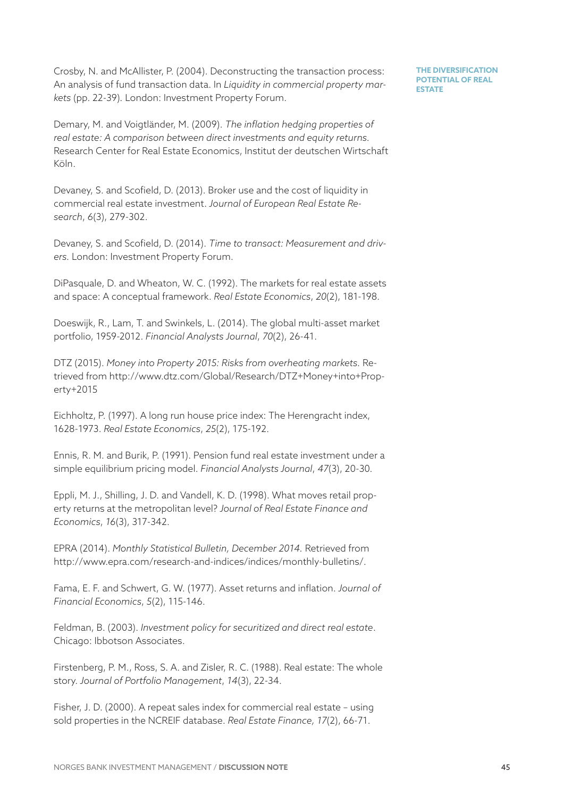Crosby, N. and McAllister, P. (2004). Deconstructing the transaction process: An analysis of fund transaction data. In *Liquidity in commercial property markets* (pp. 22-39)*.* London: Investment Property Forum.

**THE DIVERSIFICATION POTENTIAL OF REAL ESTATE** 

Demary, M. and Voigtländer, M. (2009). *The inflation hedging properties of real estate: A comparison between direct investments and equity returns.* Research Center for Real Estate Economics, Institut der deutschen Wirtschaft Köln.

Devaney, S. and Scofield, D. (2013). Broker use and the cost of liquidity in commercial real estate investment. *Journal of European Real Estate Research*, *6*(3), 279-302.

Devaney, S. and Scofield, D. (2014). *Time to transact: Measurement and drivers.* London: Investment Property Forum.

DiPasquale, D. and Wheaton, W. C. (1992). The markets for real estate assets and space: A conceptual framework. *Real Estate Economics*, *20*(2), 181-198.

Doeswijk, R., Lam, T. and Swinkels, L. (2014). The global multi-asset market portfolio, 1959-2012. *Financial Analysts Journal*, *70*(2), 26-41.

DTZ (2015). *Money into Property 2015: Risks from overheating markets.* Retrieved from http://www.dtz.com/Global/Research/DTZ+Money+into+Property+2015

Eichholtz, P. (1997). A long run house price index: The Herengracht index, 1628-1973. *Real Estate Economics*, *25*(2), 175-192.

Ennis, R. M. and Burik, P. (1991). Pension fund real estate investment under a simple equilibrium pricing model. *Financial Analysts Journal*, *47*(3), 20-30.

Eppli, M. J., Shilling, J. D. and Vandell, K. D. (1998). What moves retail property returns at the metropolitan level? *Journal of Real Estate Finance and Economics*, *16*(3), 317-342.

EPRA (2014). *Monthly Statistical Bulletin, December 2014.* Retrieved from http://www.epra.com/research-and-indices/indices/monthly-bulletins/.

Fama, E. F. and Schwert, G. W. (1977). Asset returns and inflation. *Journal of Financial Economics*, *5*(2), 115-146.

Feldman, B. (2003). *Investment policy for securitized and direct real estate*. Chicago: Ibbotson Associates.

Firstenberg, P. M., Ross, S. A. and Zisler, R. C. (1988). Real estate: The whole story. *Journal of Portfolio Management*, *14*(3), 22-34.

Fisher, J. D. (2000). A repeat sales index for commercial real estate – using sold properties in the NCREIF database. *Real Estate Finance, 17*(2), 66-71.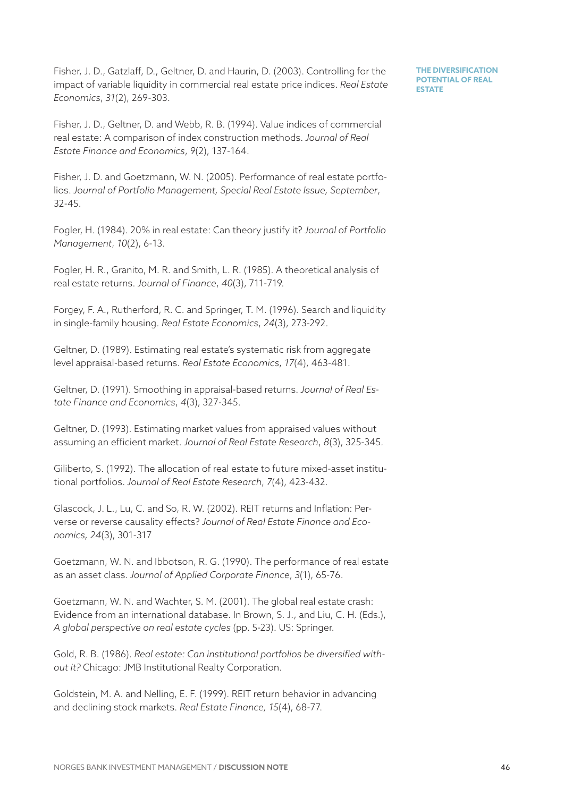Fisher, J. D., Gatzlaff, D., Geltner, D. and Haurin, D. (2003). Controlling for the impact of variable liquidity in commercial real estate price indices. *Real Estate Economics*, *31*(2), 269-303.

**THE DIVERSIFICATION POTENTIAL OF REAL ESTATE** 

Fisher, J. D., Geltner, D. and Webb, R. B. (1994). Value indices of commercial real estate: A comparison of index construction methods. *Journal of Real Estate Finance and Economics*, *9*(2), 137-164.

Fisher, J. D. and Goetzmann, W. N. (2005). Performance of real estate portfolios. *Journal of Portfolio Management, Special Real Estate Issue, September*, 32-45.

Fogler, H. (1984). 20% in real estate: Can theory justify it? *Journal of Portfolio Management*, *10*(2), 6-13.

Fogler, H. R., Granito, M. R. and Smith, L. R. (1985). A theoretical analysis of real estate returns. *Journal of Finance*, *40*(3), 711-719.

Forgey, F. A., Rutherford, R. C. and Springer, T. M. (1996). Search and liquidity in single-family housing. *Real Estate Economics*, *24*(3), 273-292.

Geltner, D. (1989). Estimating real estate's systematic risk from aggregate level appraisal-based returns. *Real Estate Economics*, *17*(4), 463-481.

Geltner, D. (1991). Smoothing in appraisal-based returns. *Journal of Real Estate Finance and Economics*, *4*(3), 327-345.

Geltner, D. (1993). Estimating market values from appraised values without assuming an efficient market. *Journal of Real Estate Research*, *8*(3), 325-345.

Giliberto, S. (1992). The allocation of real estate to future mixed-asset institutional portfolios. *Journal of Real Estate Research*, *7*(4), 423-432.

Glascock, J. L., Lu, C. and So, R. W. (2002). REIT returns and Inflation: Perverse or reverse causality effects? *Journal of Real Estate Finance and Economics, 24*(3), 301-317

Goetzmann, W. N. and Ibbotson, R. G. (1990). The performance of real estate as an asset class. *Journal of Applied Corporate Finance*, *3*(1), 65-76.

Goetzmann, W. N. and Wachter, S. M. (2001). The global real estate crash: Evidence from an international database. In Brown, S. J., and Liu, C. H. (Eds.), *A global perspective on real estate cycles* (pp. 5-23). US: Springer.

Gold, R. B. (1986). *Real estate: Can institutional portfolios be diversified without it?* Chicago: JMB Institutional Realty Corporation.

Goldstein, M. A. and Nelling, E. F. (1999). REIT return behavior in advancing and declining stock markets. *Real Estate Finance, 15*(4), 68-77.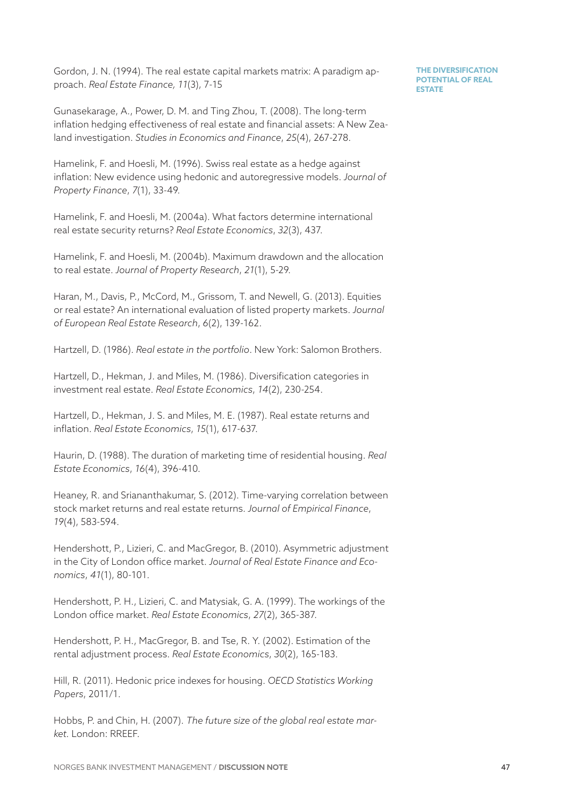Gordon, J. N. (1994). The real estate capital markets matrix: A paradigm approach. *Real Estate Finance, 11*(3), 7-15

Gunasekarage, A., Power, D. M. and Ting Zhou, T. (2008). The long-term inflation hedging effectiveness of real estate and financial assets: A New Zealand investigation. *Studies in Economics and Finance*, *25*(4), 267-278.

Hamelink, F. and Hoesli, M. (1996). Swiss real estate as a hedge against inflation: New evidence using hedonic and autoregressive models. *Journal of Property Finance*, *7*(1), 33-49.

Hamelink, F. and Hoesli, M. (2004a). What factors determine international real estate security returns? *Real Estate Economics*, *32*(3), 437.

Hamelink, F. and Hoesli, M. (2004b). Maximum drawdown and the allocation to real estate. *Journal of Property Research*, *21*(1), 5-29.

Haran, M., Davis, P., McCord, M., Grissom, T. and Newell, G. (2013). Equities or real estate? An international evaluation of listed property markets. *Journal of European Real Estate Research*, *6*(2), 139-162.

Hartzell, D. (1986). *Real estate in the portfolio*. New York: Salomon Brothers.

Hartzell, D., Hekman, J. and Miles, M. (1986). Diversification categories in investment real estate. *Real Estate Economics*, *14*(2), 230-254.

Hartzell, D., Hekman, J. S. and Miles, M. E. (1987). Real estate returns and inflation. *Real Estate Economics*, *15*(1), 617-637.

Haurin, D. (1988). The duration of marketing time of residential housing. *Real Estate Economics*, *16*(4), 396-410.

Heaney, R. and Sriananthakumar, S. (2012). Time-varying correlation between stock market returns and real estate returns. *Journal of Empirical Finance*, *19*(4), 583-594.

Hendershott, P., Lizieri, C. and MacGregor, B. (2010). Asymmetric adjustment in the City of London office market. *Journal of Real Estate Finance and Economics*, *41*(1), 80-101.

Hendershott, P. H., Lizieri, C. and Matysiak, G. A. (1999). The workings of the London office market. *Real Estate Economics*, *27*(2), 365-387.

Hendershott, P. H., MacGregor, B. and Tse, R. Y. (2002). Estimation of the rental adjustment process. *Real Estate Economics*, *30*(2), 165-183.

Hill, R. (2011). Hedonic price indexes for housing. *OECD Statistics Working Papers*, 2011/1.

Hobbs, P. and Chin, H. (2007). *The future size of the global real estate market.* London: RREEF.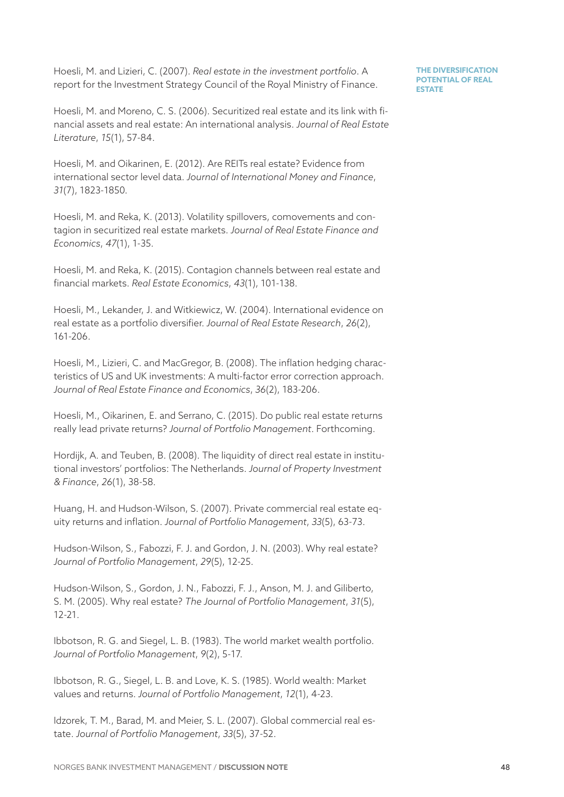Hoesli, M. and Lizieri, C. (2007). *Real estate in the investment portfolio*. A report for the Investment Strategy Council of the Royal Ministry of Finance.

Hoesli, M. and Moreno, C. S. (2006). Securitized real estate and its link with financial assets and real estate: An international analysis. *Journal of Real Estate Literature*, *15*(1), 57-84.

Hoesli, M. and Oikarinen, E. (2012). Are REITs real estate? Evidence from international sector level data. *Journal of International Money and Finance*, *31*(7), 1823-1850.

Hoesli, M. and Reka, K. (2013). Volatility spillovers, comovements and contagion in securitized real estate markets. *Journal of Real Estate Finance and Economics*, *47*(1), 1-35.

Hoesli, M. and Reka, K. (2015). Contagion channels between real estate and financial markets. *Real Estate Economics*, *43*(1), 101-138.

Hoesli, M., Lekander, J. and Witkiewicz, W. (2004). International evidence on real estate as a portfolio diversifier. *Journal of Real Estate Research*, *26*(2), 161-206.

Hoesli, M., Lizieri, C. and MacGregor, B. (2008). The inflation hedging characteristics of US and UK investments: A multi-factor error correction approach. *Journal of Real Estate Finance and Economics*, *36*(2), 183-206.

Hoesli, M., Oikarinen, E. and Serrano, C. (2015). Do public real estate returns really lead private returns? *Journal of Portfolio Management*. Forthcoming.

Hordijk, A. and Teuben, B. (2008). The liquidity of direct real estate in institutional investors' portfolios: The Netherlands. *Journal of Property Investment & Finance*, *26*(1), 38-58.

Huang, H. and Hudson-Wilson, S. (2007). Private commercial real estate equity returns and inflation. *Journal of Portfolio Management*, *33*(5), 63-73.

Hudson-Wilson, S., Fabozzi, F. J. and Gordon, J. N. (2003). Why real estate? *Journal of Portfolio Management*, *29*(5), 12-25.

Hudson-Wilson, S., Gordon, J. N., Fabozzi, F. J., Anson, M. J. and Giliberto, S. M. (2005). Why real estate? *The Journal of Portfolio Management*, *31*(5), 12-21.

Ibbotson, R. G. and Siegel, L. B. (1983). The world market wealth portfolio. *Journal of Portfolio Management*, *9*(2), 5-17.

Ibbotson, R. G., Siegel, L. B. and Love, K. S. (1985). World wealth: Market values and returns. *Journal of Portfolio Management*, *12*(1), 4-23.

Idzorek, T. M., Barad, M. and Meier, S. L. (2007). Global commercial real estate. *Journal of Portfolio Management*, *33*(5), 37-52.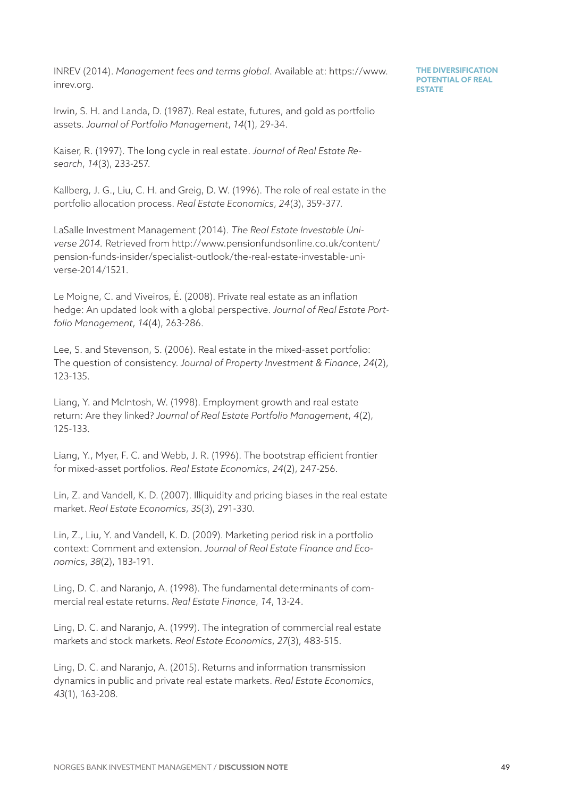INREV (2014). *Management fees and terms global*. Available at: https://www. inrev.org.

Irwin, S. H. and Landa, D. (1987). Real estate, futures, and gold as portfolio assets. *Journal of Portfolio Management*, *14*(1), 29-34.

Kaiser, R. (1997). The long cycle in real estate. *Journal of Real Estate Research*, *14*(3), 233-257.

Kallberg, J. G., Liu, C. H. and Greig, D. W. (1996). The role of real estate in the portfolio allocation process. *Real Estate Economics*, *24*(3), 359-377.

LaSalle Investment Management (2014). *The Real Estate Investable Universe 2014.* Retrieved from http://www.pensionfundsonline.co.uk/content/ pension-funds-insider/specialist-outlook/the-real-estate-investable-universe-2014/1521.

Le Moigne, C. and Viveiros, É. (2008). Private real estate as an inflation hedge: An updated look with a global perspective. *Journal of Real Estate Portfolio Management*, *14*(4), 263-286.

Lee, S. and Stevenson, S. (2006). Real estate in the mixed-asset portfolio: The question of consistency. *Journal of Property Investment & Finance*, *24*(2), 123-135.

Liang, Y. and McIntosh, W. (1998). Employment growth and real estate return: Are they linked? *Journal of Real Estate Portfolio Management*, *4*(2), 125-133.

Liang, Y., Myer, F. C. and Webb, J. R. (1996). The bootstrap efficient frontier for mixed-asset portfolios. *Real Estate Economics*, *24*(2), 247-256.

Lin, Z. and Vandell, K. D. (2007). Illiquidity and pricing biases in the real estate market. *Real Estate Economics*, *35*(3), 291-330.

Lin, Z., Liu, Y. and Vandell, K. D. (2009). Marketing period risk in a portfolio context: Comment and extension. *Journal of Real Estate Finance and Economics*, *38*(2), 183-191.

Ling, D. C. and Naranjo, A. (1998). The fundamental determinants of commercial real estate returns. *Real Estate Finance*, *14*, 13-24.

Ling, D. C. and Naranjo, A. (1999). The integration of commercial real estate markets and stock markets. *Real Estate Economics*, *27*(3), 483-515.

Ling, D. C. and Naranjo, A. (2015). Returns and information transmission dynamics in public and private real estate markets. *Real Estate Economics*, *43*(1), 163-208.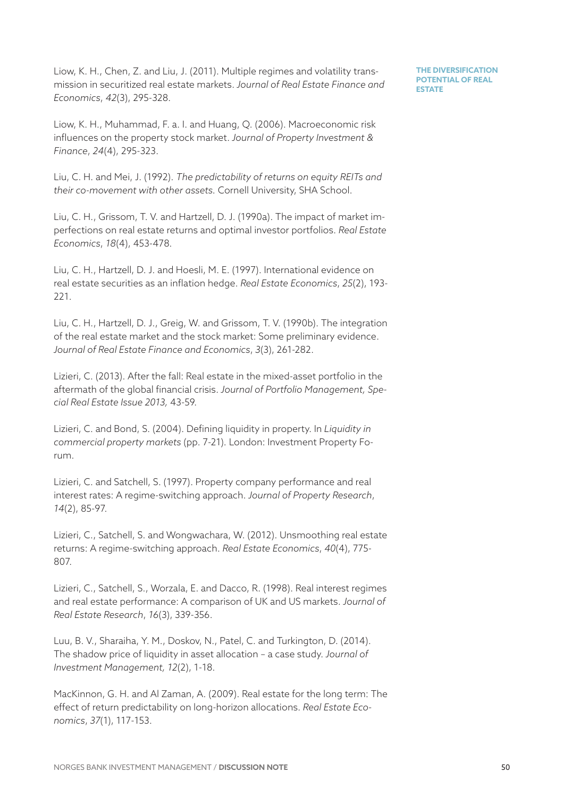Liow, K. H., Chen, Z. and Liu, J. (2011). Multiple regimes and volatility transmission in securitized real estate markets. *Journal of Real Estate Finance and Economics*, *42*(3), 295-328.

**THE DIVERSIFICATION POTENTIAL OF REAL ESTATE** 

Liow, K. H., Muhammad, F. a. I. and Huang, Q. (2006). Macroeconomic risk influences on the property stock market. *Journal of Property Investment & Finance*, *24*(4), 295-323.

Liu, C. H. and Mei, J. (1992). *The predictability of returns on equity REITs and their co-movement with other assets.* Cornell University, SHA School.

Liu, C. H., Grissom, T. V. and Hartzell, D. J. (1990a). The impact of market imperfections on real estate returns and optimal investor portfolios. *Real Estate Economics*, *18*(4), 453-478.

Liu, C. H., Hartzell, D. J. and Hoesli, M. E. (1997). International evidence on real estate securities as an inflation hedge. *Real Estate Economics*, *25*(2), 193-221.

Liu, C. H., Hartzell, D. J., Greig, W. and Grissom, T. V. (1990b). The integration of the real estate market and the stock market: Some preliminary evidence. *Journal of Real Estate Finance and Economics*, *3*(3), 261-282.

Lizieri, C. (2013). After the fall: Real estate in the mixed-asset portfolio in the aftermath of the global financial crisis. *Journal of Portfolio Management, Special Real Estate Issue 2013,* 43-59.

Lizieri, C. and Bond, S. (2004). Defining liquidity in property. In *Liquidity in commercial property markets* (pp. 7-21)*.* London: Investment Property Forum.

Lizieri, C. and Satchell, S. (1997). Property company performance and real interest rates: A regime-switching approach. *Journal of Property Research*, *14*(2), 85-97.

Lizieri, C., Satchell, S. and Wongwachara, W. (2012). Unsmoothing real estate returns: A regime-switching approach. *Real Estate Economics*, *40*(4), 775-807.

Lizieri, C., Satchell, S., Worzala, E. and Dacco, R. (1998). Real interest regimes and real estate performance: A comparison of UK and US markets. *Journal of Real Estate Research*, *16*(3), 339-356.

Luu, B. V., Sharaiha, Y. M., Doskov, N., Patel, C. and Turkington, D. (2014). The shadow price of liquidity in asset allocation – a case study. *Journal of Investment Management, 12*(2), 1-18.

MacKinnon, G. H. and Al Zaman, A. (2009). Real estate for the long term: The effect of return predictability on long-horizon allocations. *Real Estate Economics*, *37*(1), 117-153.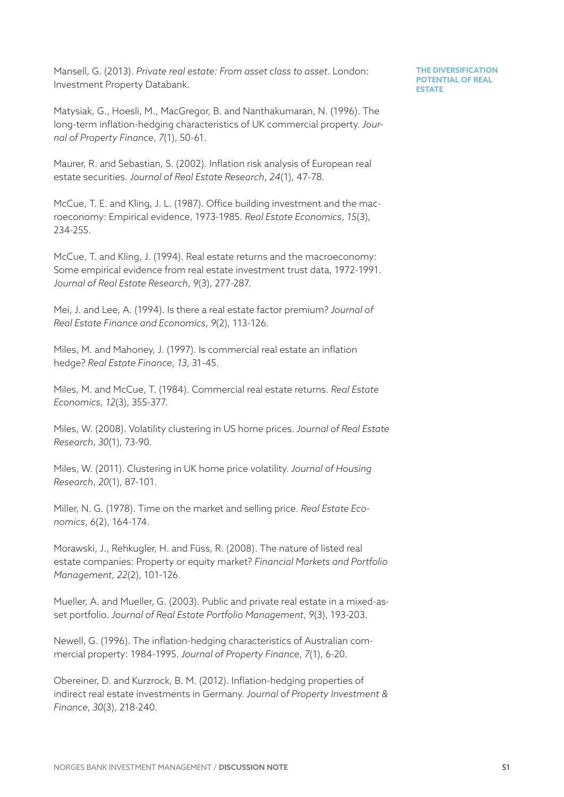Mansell, G. (2013). *Private real estate: From asset class to asset*. London: Investment Property Databank.

Matysiak, G., Hoesli, M., MacGregor, B. and Nanthakumaran, N. (1996). The long-term inflation-hedging characteristics of UK commercial property. *Journal of Property Finance*, *7*(1), 50-61.

Maurer, R. and Sebastian, S. (2002). Inflation risk analysis of European real estate securities. *Journal of Real Estate Research*, *24*(1), 47-78.

McCue, T. E. and Kling, J. L. (1987). Office building investment and the macroeconomy: Empirical evidence, 1973-1985. *Real Estate Economics*, *15*(3), 234-255.

McCue, T. and Kling, J. (1994). Real estate returns and the macroeconomy: Some empirical evidence from real estate investment trust data, 1972-1991. *Journal of Real Estate Research*, *9*(3), 277-287.

Mei, J. and Lee, A. (1994). Is there a real estate factor premium? *Journal of Real Estate Finance and Economics*, *9*(2), 113-126.

Miles, M. and Mahoney, J. (1997). Is commercial real estate an inflation hedge? *Real Estate Finance*, *13*, 31-45.

Miles, M. and McCue, T. (1984). Commercial real estate returns. *Real Estate Economics*, *12*(3), 355-377.

Miles, W. (2008). Volatility clustering in US home prices. *Journal of Real Estate Research*, *30*(1), 73-90.

Miles, W. (2011). Clustering in UK home price volatility. *Journal of Housing Research*, *20*(1), 87-101.

Miller, N. G. (1978). Time on the market and selling price. *Real Estate Economics*, *6*(2), 164-174.

Morawski, J., Rehkugler, H. and Füss, R. (2008). The nature of listed real estate companies: Property or equity market? *Financial Markets and Portfolio Management*, *22*(2), 101-126.

Mueller, A. and Mueller, G. (2003). Public and private real estate in a mixed-asset portfolio. *Journal of Real Estate Portfolio Management*, *9*(3), 193-203.

Newell, G. (1996). The inflation-hedging characteristics of Australian commercial property: 1984-1995. *Journal of Property Finance*, *7*(1), 6-20.

Obereiner, D. and Kurzrock, B. M. (2012). Inflation-hedging properties of indirect real estate investments in Germany. *Journal of Property Investment & Finance*, *30*(3), 218-240.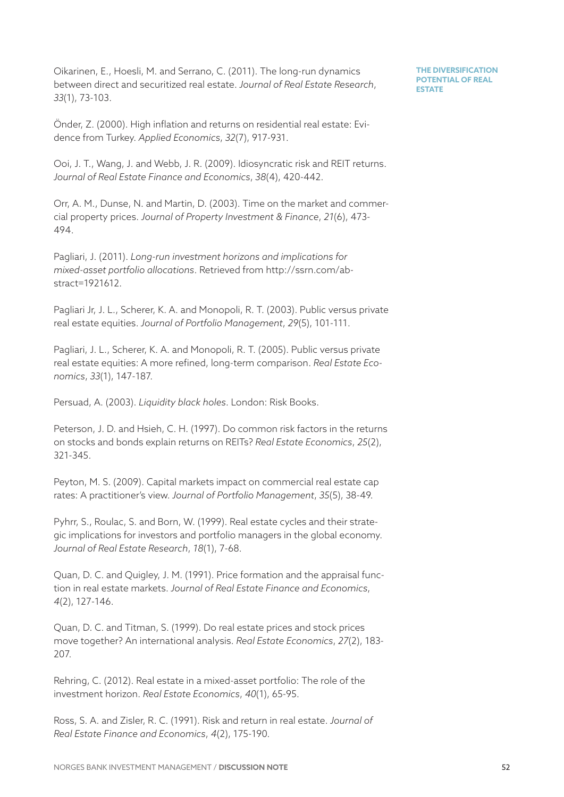Oikarinen, E., Hoesli, M. and Serrano, C. (2011). The long-run dynamics between direct and securitized real estate. *Journal of Real Estate Research*, *33*(1), 73-103.

**THE DIVERSIFICATION POTENTIAL OF REAL ESTATE** 

Önder, Z. (2000). High inflation and returns on residential real estate: Evidence from Turkey. *Applied Economics*, *32*(7), 917-931.

Ooi, J. T., Wang, J. and Webb, J. R. (2009). Idiosyncratic risk and REIT returns. *Journal of Real Estate Finance and Economics*, *38*(4), 420-442.

Orr, A. M., Dunse, N. and Martin, D. (2003). Time on the market and commercial property prices. *Journal of Property Investment & Finance*, *21*(6), 473-494.

Pagliari, J. (2011). *Long-run investment horizons and implications for mixed-asset portfolio allocations*. Retrieved from [http://ssrn.com/ab](http://ssrn.com/abstract=1921612)[stract=1921612.](http://ssrn.com/abstract=1921612)

Pagliari Jr, J. L., Scherer, K. A. and Monopoli, R. T. (2003). Public versus private real estate equities. *Journal of Portfolio Management*, *29*(5), 101-111.

Pagliari, J. L., Scherer, K. A. and Monopoli, R. T. (2005). Public versus private real estate equities: A more refined, long-term comparison. *Real Estate Economics*, *33*(1), 147-187.

Persuad, A. (2003). *Liquidity black holes*. London: Risk Books.

Peterson, J. D. and Hsieh, C. H. (1997). Do common risk factors in the returns on stocks and bonds explain returns on REITs? *Real Estate Economics*, *25*(2), 321-345.

Peyton, M. S. (2009). Capital markets impact on commercial real estate cap rates: A practitioner's view. *Journal of Portfolio Management*, *35*(5), 38-49.

Pyhrr, S., Roulac, S. and Born, W. (1999). Real estate cycles and their strategic implications for investors and portfolio managers in the global economy. *Journal of Real Estate Research*, *18*(1), 7-68.

Quan, D. C. and Quigley, J. M. (1991). Price formation and the appraisal function in real estate markets. *Journal of Real Estate Finance and Economics*, *4*(2), 127-146.

Quan, D. C. and Titman, S. (1999). Do real estate prices and stock prices move together? An international analysis. *Real Estate Economics*, *27*(2), 183-207.

Rehring, C. (2012). Real estate in a mixed-asset portfolio: The role of the investment horizon. *Real Estate Economics*, *40*(1), 65-95.

Ross, S. A. and Zisler, R. C. (1991). Risk and return in real estate. *Journal of Real Estate Finance and Economics*, *4*(2), 175-190.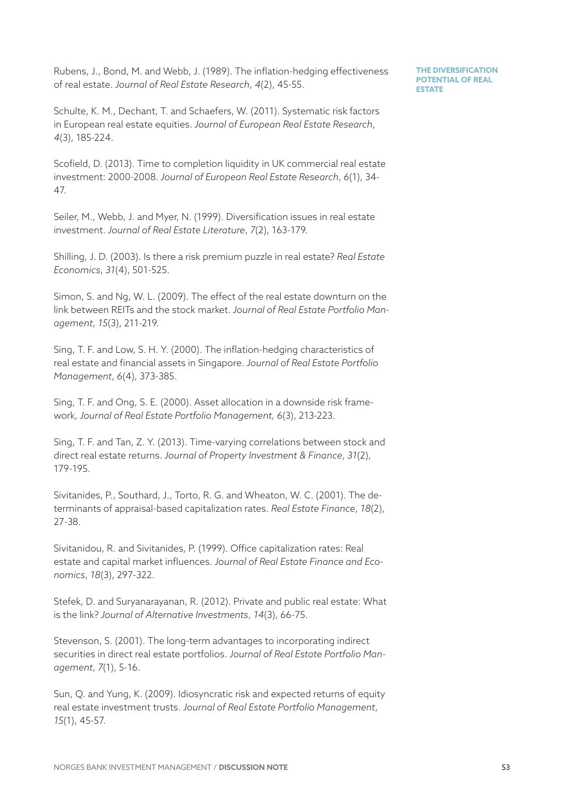Rubens, J., Bond, M. and Webb, J. (1989). The inflation-hedging effectiveness of real estate. *Journal of Real Estate Research*, *4*(2), 45-55.

Schulte, K. M., Dechant, T. and Schaefers, W. (2011). Systematic risk factors in European real estate equities. *Journal of European Real Estate Research*, *4*(3), 185-224.

Scofield, D. (2013). Time to completion liquidity in UK commercial real estate investment: 2000-2008. *Journal of European Real Estate Research*, *6*(1), 34-47.

Seiler, M., Webb, J. and Myer, N. (1999). Diversification issues in real estate investment. *Journal of Real Estate Literature*, *7*(2), 163-179.

Shilling, J. D. (2003). Is there a risk premium puzzle in real estate? *Real Estate Economics*, *31*(4), 501-525.

Simon, S. and Ng, W. L. (2009). The effect of the real estate downturn on the link between REITs and the stock market. *Journal of Real Estate Portfolio Management*, *15*(3), 211-219.

Sing, T. F. and Low, S. H. Y. (2000). The inflation-hedging characteristics of real estate and financial assets in Singapore. *Journal of Real Estate Portfolio Management*, *6*(4), 373-385.

Sing, T. F. and Ong, S. E. (2000). Asset allocation in a downside risk framework, *Journal of Real Estate Portfolio Management, 6*(3), 213-223.

Sing, T. F. and Tan, Z. Y. (2013). Time-varying correlations between stock and direct real estate returns. *Journal of Property Investment & Finance*, *31*(2), 179-195.

Sivitanides, P., Southard, J., Torto, R. G. and Wheaton, W. C. (2001). The determinants of appraisal-based capitalization rates. *Real Estate Finance*, *18*(2), 27-38.

Sivitanidou, R. and Sivitanides, P. (1999). Office capitalization rates: Real estate and capital market influences. *Journal of Real Estate Finance and Economics*, *18*(3), 297-322.

Stefek, D. and Suryanarayanan, R. (2012). Private and public real estate: What is the link? *Journal of Alternative Investments*, *14*(3), 66-75.

Stevenson, S. (2001). The long-term advantages to incorporating indirect securities in direct real estate portfolios. *Journal of Real Estate Portfolio Management*, *7*(1), 5-16.

Sun, Q. and Yung, K. (2009). Idiosyncratic risk and expected returns of equity real estate investment trusts. *Journal of Real Estate Portfolio Management*, *15*(1), 45-57.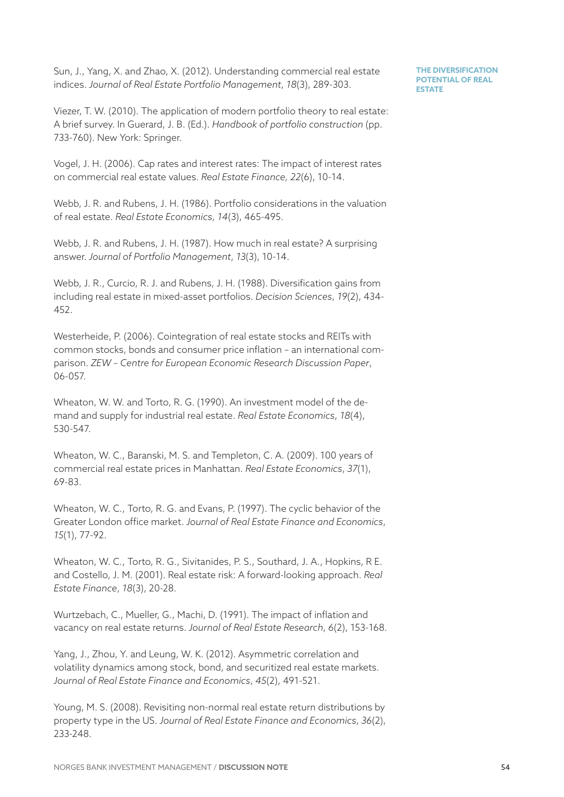Sun, J., Yang, X. and Zhao, X. (2012). Understanding commercial real estate indices. *Journal of Real Estate Portfolio Management*, *18*(3), 289-303.

**THE DIVERSIFICATION POTENTIAL OF REAL ESTATE** 

Viezer, T. W. (2010). The application of modern portfolio theory to real estate: A brief survey. In Guerard, J. B. (Ed.). *Handbook of portfolio construction* (pp. 733-760). New York: Springer.

Vogel, J. H. (2006). Cap rates and interest rates: The impact of interest rates on commercial real estate values. *Real Estate Finance, 22*(6), 10-14.

Webb, J. R. and Rubens, J. H. (1986). Portfolio considerations in the valuation of real estate. *Real Estate Economics*, *14*(3), 465-495.

Webb, J. R. and Rubens, J. H. (1987). How much in real estate? A surprising answer. *Journal of Portfolio Management*, *13*(3), 10-14.

Webb, J. R., Curcio, R. J. and Rubens, J. H. (1988). Diversification gains from including real estate in mixed-asset portfolios. *Decision Sciences*, *19*(2), 434-452.

Westerheide, P. (2006). Cointegration of real estate stocks and REITs with common stocks, bonds and consumer price inflation – an international comparison. *ZEW – Centre for European Economic Research Discussion Paper*, 06-057.

Wheaton, W. W. and Torto, R. G. (1990). An investment model of the demand and supply for industrial real estate. *Real Estate Economics*, *18*(4), 530-547.

Wheaton, W. C., Baranski, M. S. and Templeton, C. A. (2009). 100 years of commercial real estate prices in Manhattan. *Real Estate Economics*, *37*(1), 69-83.

Wheaton, W. C., Torto, R. G. and Evans, P. (1997). The cyclic behavior of the Greater London office market. *Journal of Real Estate Finance and Economics*, *15*(1), 77-92.

Wheaton, W. C., Torto, R. G., Sivitanides, P. S., Southard, J. A., Hopkins, R E. and Costello, J. M. (2001). Real estate risk: A forward-looking approach. *Real Estate Finance*, *18*(3), 20-28.

Wurtzebach, C., Mueller, G., Machi, D. (1991). The impact of inflation and vacancy on real estate returns. *Journal of Real Estate Research*, *6*(2), 153-168.

Yang, J., Zhou, Y. and Leung, W. K. (2012). Asymmetric correlation and volatility dynamics among stock, bond, and securitized real estate markets. *Journal of Real Estate Finance and Economics*, *45*(2), 491-521.

Young, M. S. (2008). Revisiting non-normal real estate return distributions by property type in the US. *Journal of Real Estate Finance and Economics*, *36*(2), 233-248.